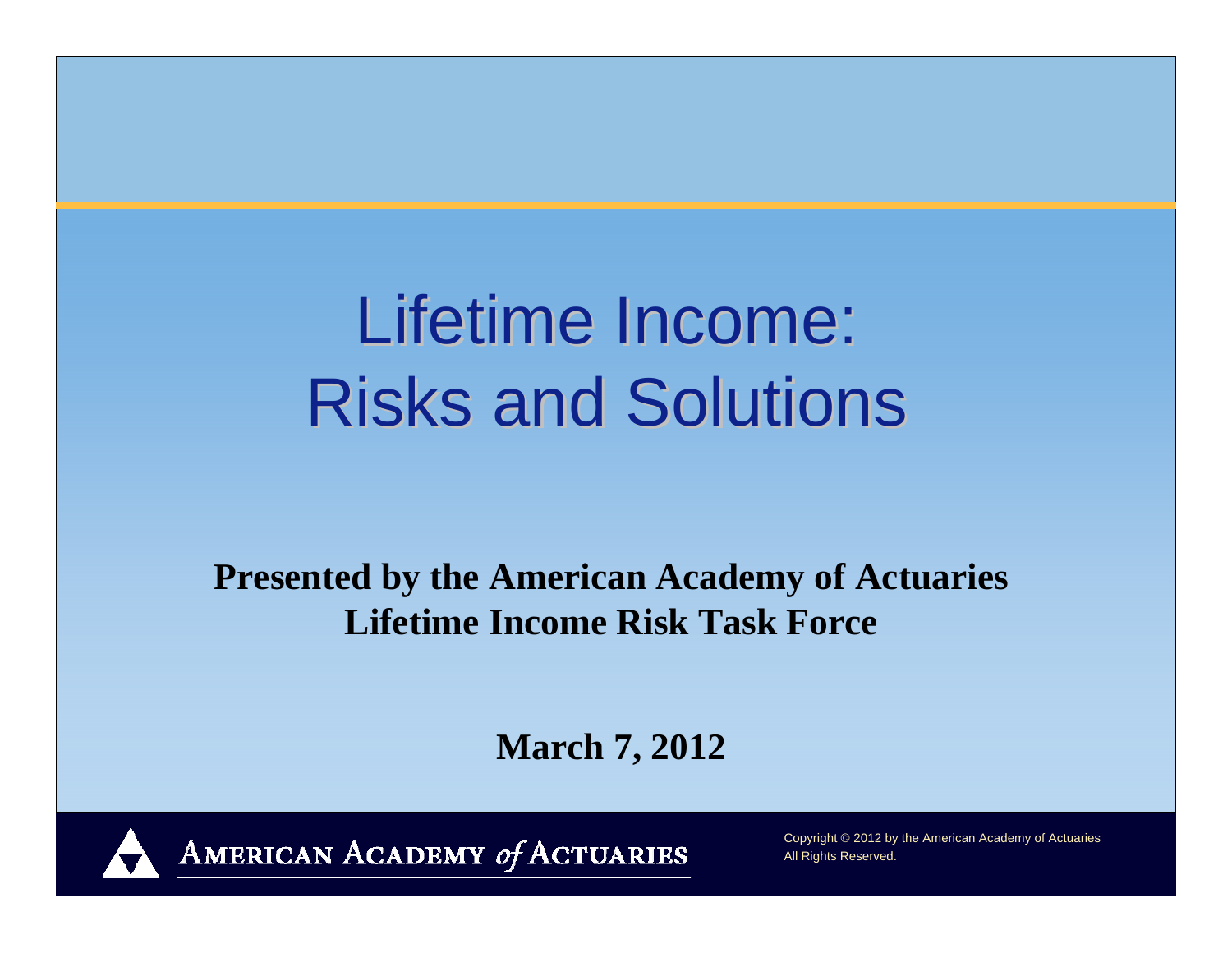# Lifetime Income: **Risks and Solutions**

**Presented by the American Academy of Actuaries Lifetime Income Risk Task Force**

**March 7, 2012**



AMERICAN ACADEMY of ACTUARIES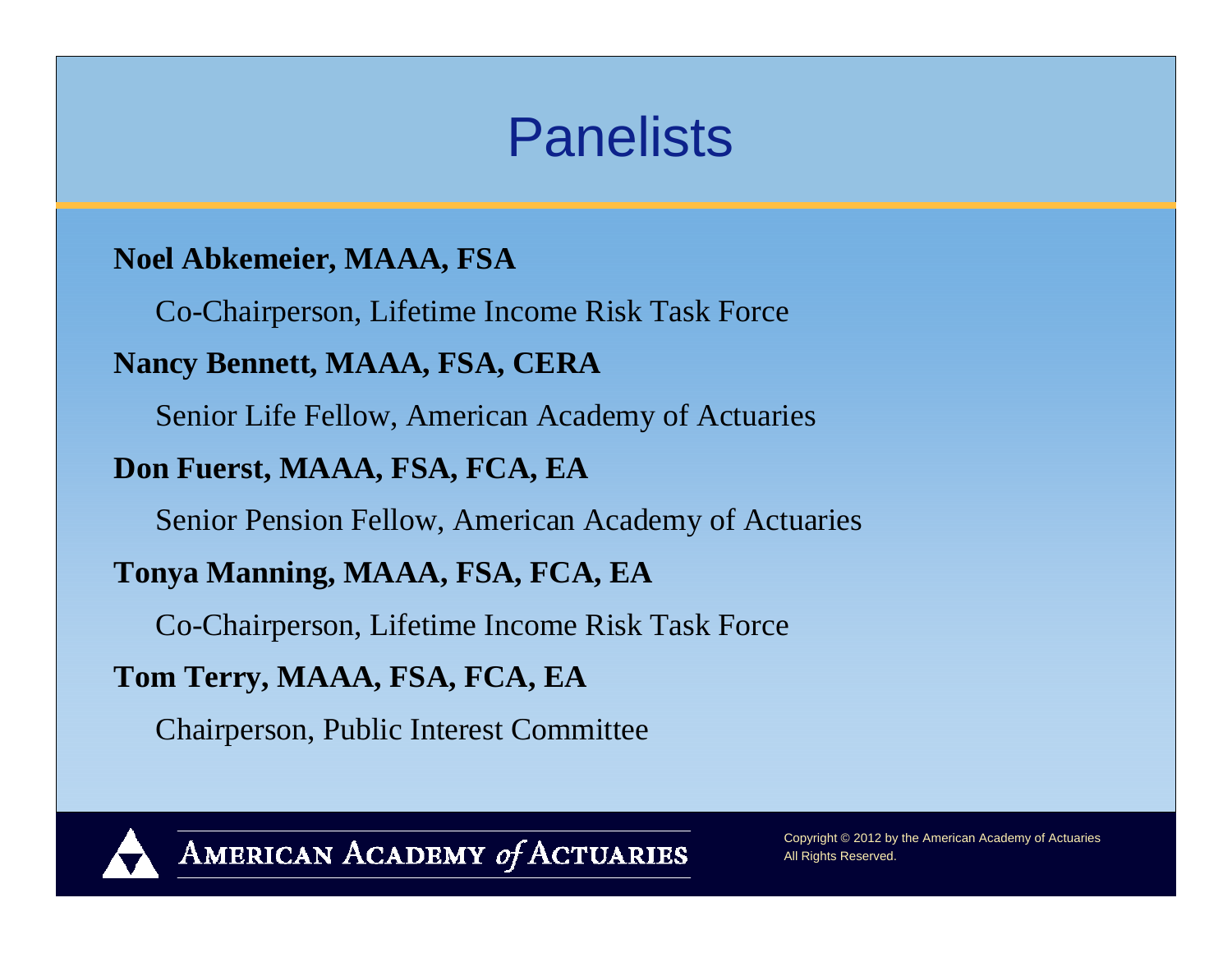### **Panelists**

#### **Noel Abkemeier, MAAA, FSA**

Co-Chairperson, Lifetime Income Risk Task Force

#### **Nancy Bennett, MAAA, FSA, CERA**

Senior Life Fellow, American Academy of Actuaries

#### **Don Fuerst, MAAA, FSA, FCA, EA**

Senior Pension Fellow, American Academy of Actuaries

#### **Tonya Manning, MAAA, FSA, FCA, EA**

Co-Chairperson, Lifetime Income Risk Task Force

#### **Tom Terry, MAAA, FSA, FCA, EA**

Chairperson, Public Interest Committee



AMERICAN ACADEMY of ACTUARIES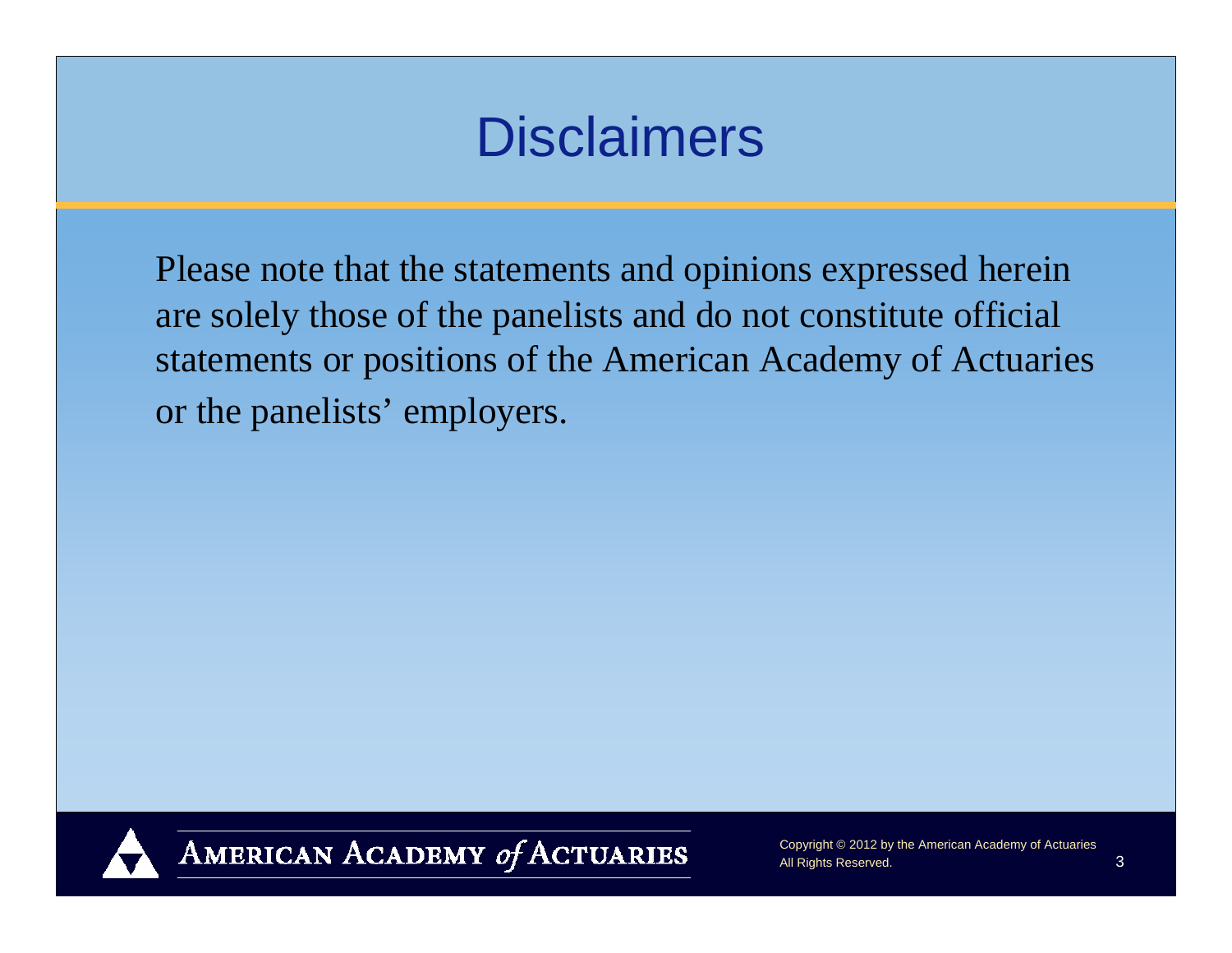### **Disclaimers**

Please note that the statements and opinions expressed herein are solely those of the panelists and do not constitute official statements or positions of the American Academy of Actuaries or the panelists' employers.



AMERICAN ACADEMY of ACTUARIES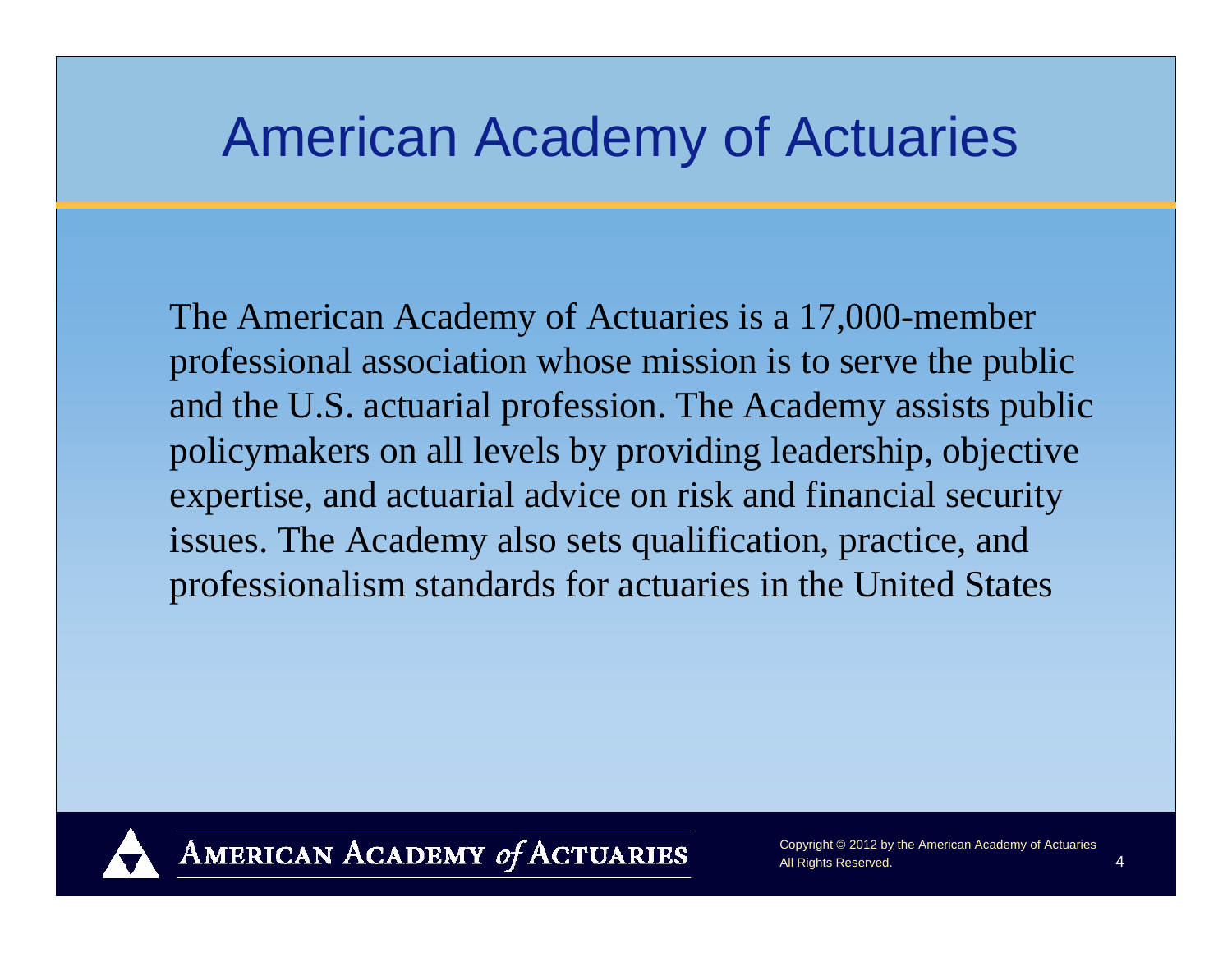### American Academy of Actuaries

The American Academy of Actuaries is a 17,000-member professional association whose mission is to serve the public and the U.S. actuarial profession. The Academy assists public policymakers on all levels by providing leadership, objective expertise, and actuarial advice on risk and financial security issues. The Academy also sets qualification, practice, and professionalism standards for actuaries in the United States



AMERICAN ACADEMY of ACTUARIES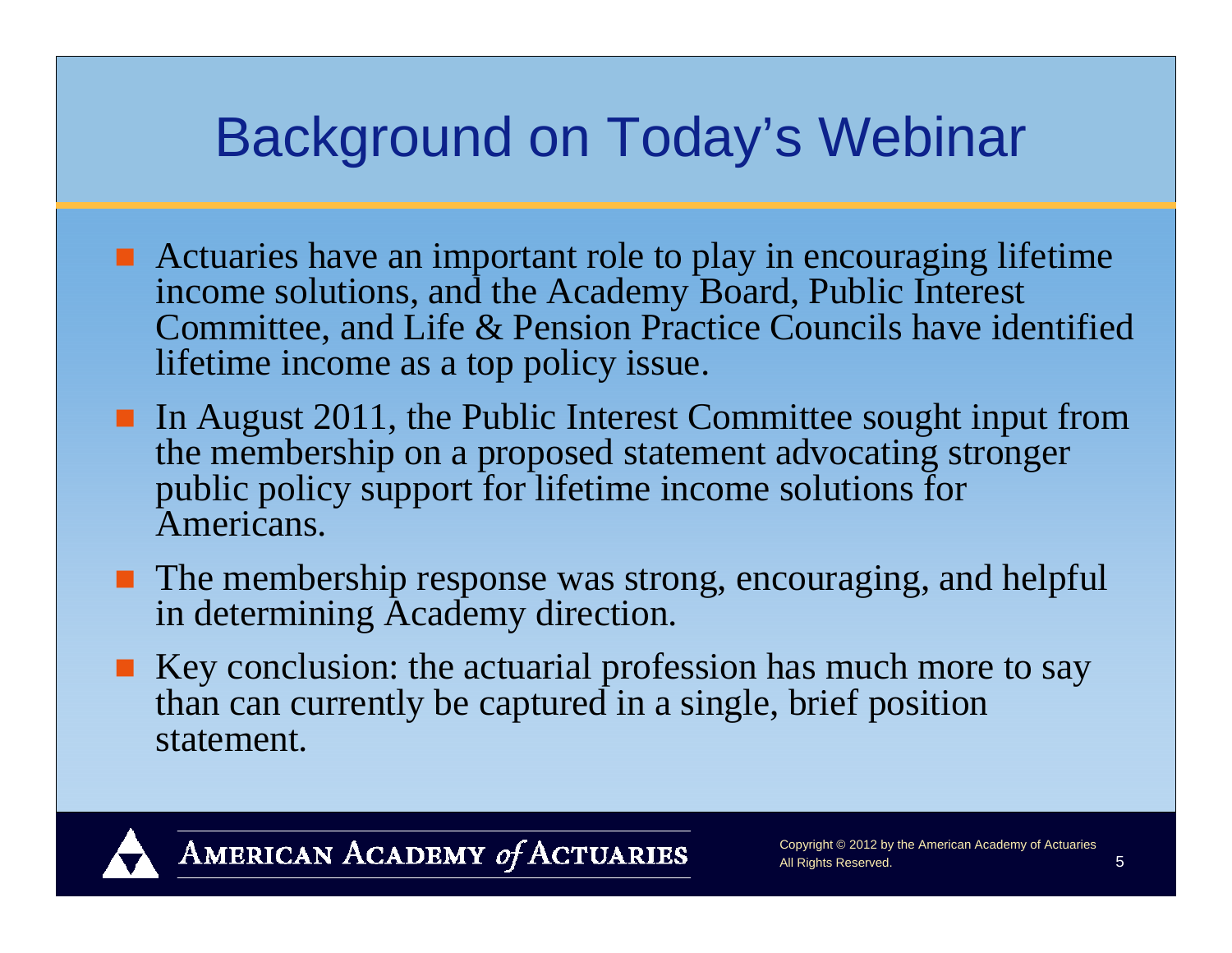### Background on Today's Webinar

- Actuaries have an important role to play in encouraging lifetime income solutions, and the Academy Board, Public Interest Committee, and Life & Pension Practice Councils have identified lifetime income as a top policy issue.
- In August 2011, the Public Interest Committee sought input from the membership on a proposed statement advocating stronger public policy support for lifetime income solutions for Americans.
- **The membership response was strong, encouraging, and helpful** in determining Academy direction.
- $\blacksquare$  Key conclusion: the actuarial profession has much more to say than can currently be captured in a single, brief position statement.

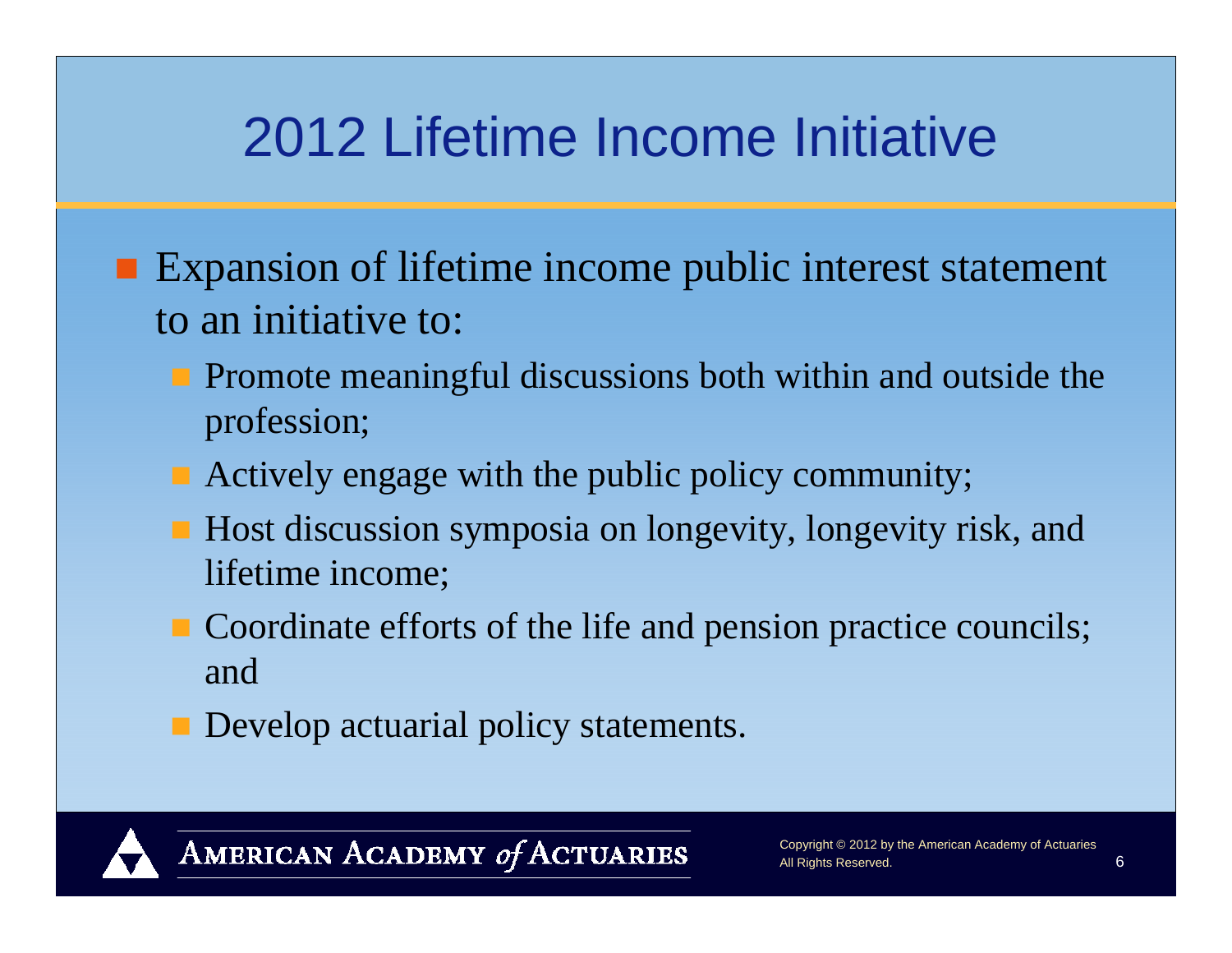### 2012 Lifetime Income Initiative

- **Expansion of lifetime income public interest statement** to an initiative to:
	- **Promote meaningful discussions both within and outside the** profession;
	- Actively engage with the public policy community;
	- Host discussion symposia on longevity, longevity risk, and lifetime income;
	- Coordinate efforts of the life and pension practice councils; and
	- **Develop actuarial policy statements.**

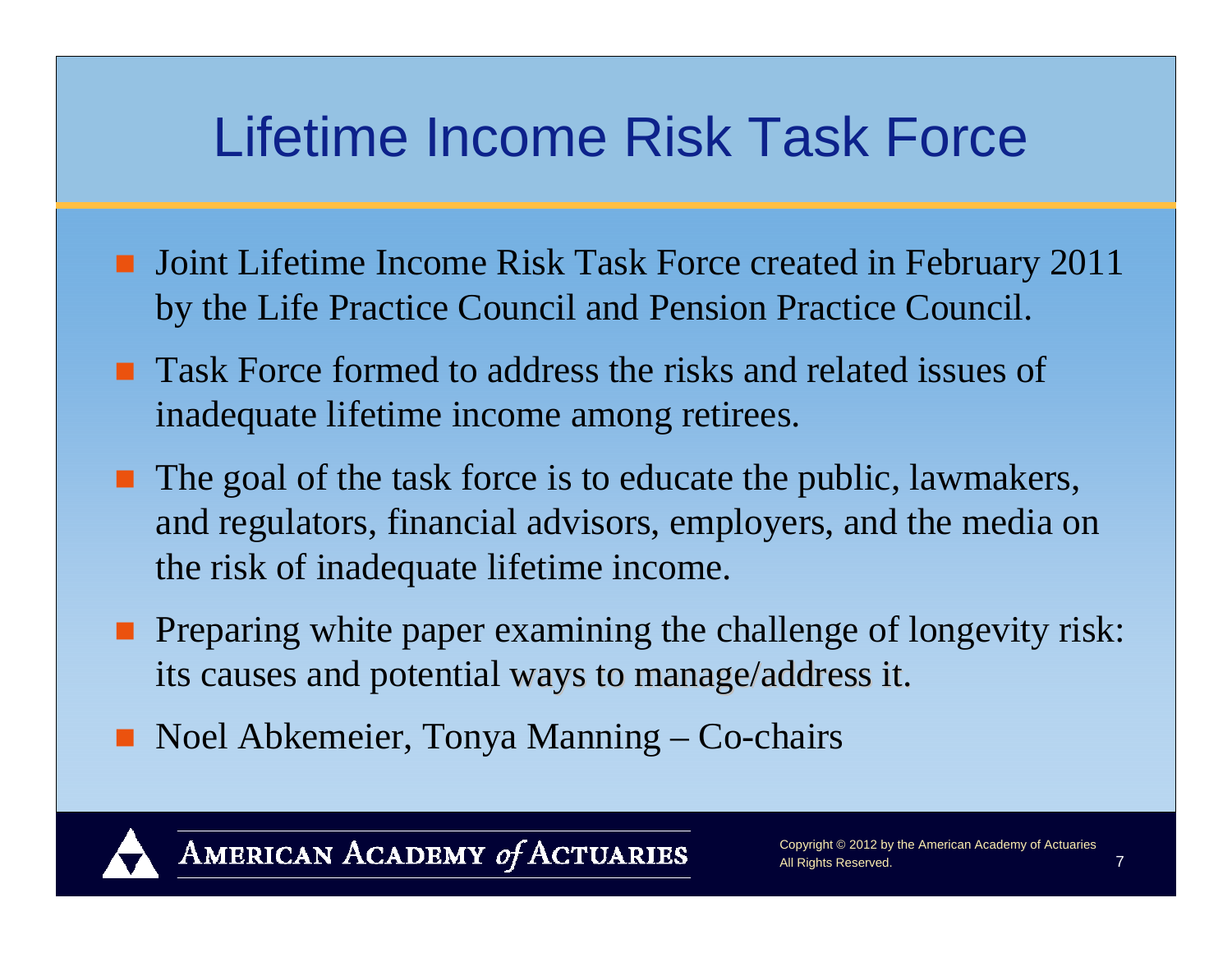### Lifetime Income Risk Task Force

- **Joint Lifetime Income Risk Task Force created in February 2011** by the Life Practice Council and Pension Practice Council.
- **Task Force formed to address the risks and related issues of** inadequate lifetime income among retirees.
- $\blacksquare$  The goal of the task force is to educate the public, lawmakers, and regulators, financial advisors, employers, and the media on the risk of inadequate lifetime income.
- **Preparing white paper examining the challenge of longevity risk:** its causes and potential ways to manage/address it.
- Noel Abkemeier, Tonya Manning Co-chairs

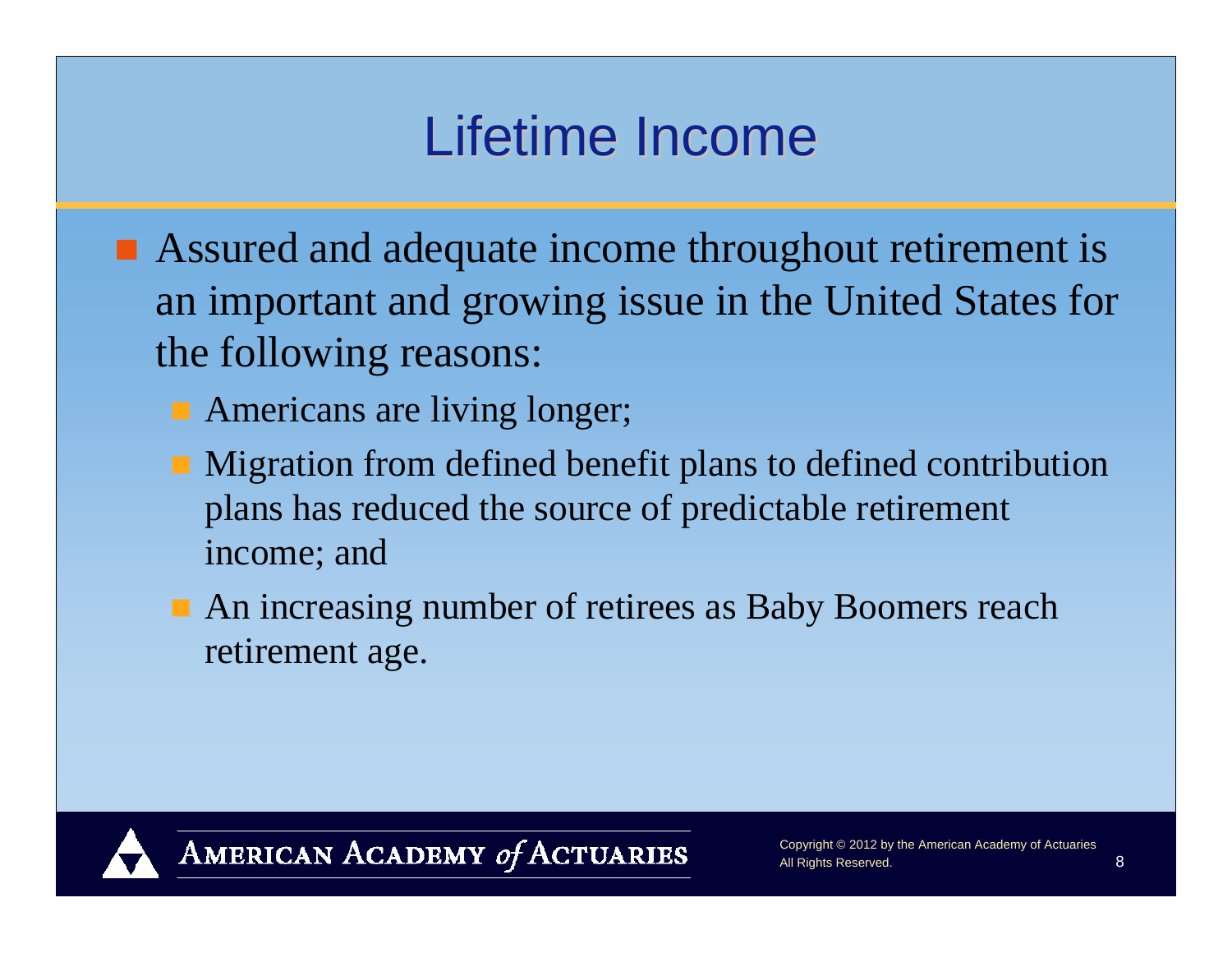### Lifetime Income

- Assured and adequate income throughout retirement is an important and growing issue in the United States for the following reasons:
	- **Americans are living longer;**
	- Migration from defined benefit plans to defined contribution plans has reduced the source of predictable retirement income; and
	- An increasing number of retirees as Baby Boomers reach retirement age.

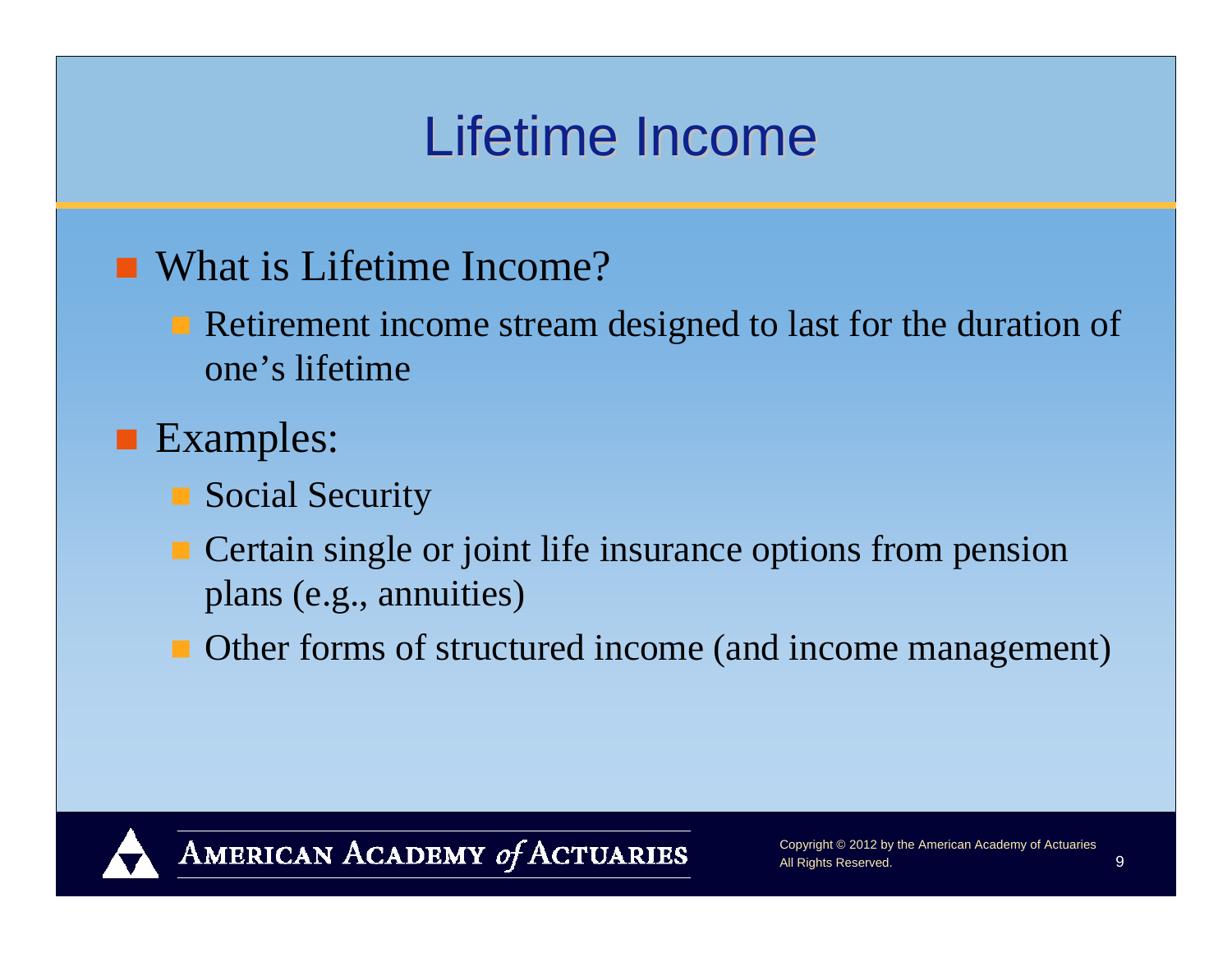### Lifetime Income

### ■ What is Lifetime Income?

Retirement income stream designed to last for the duration of one's lifetime

### **Examples:**

- Social Security
- Certain single or joint life insurance options from pension plans (e.g., annuities)
- Other forms of structured income (and income management)

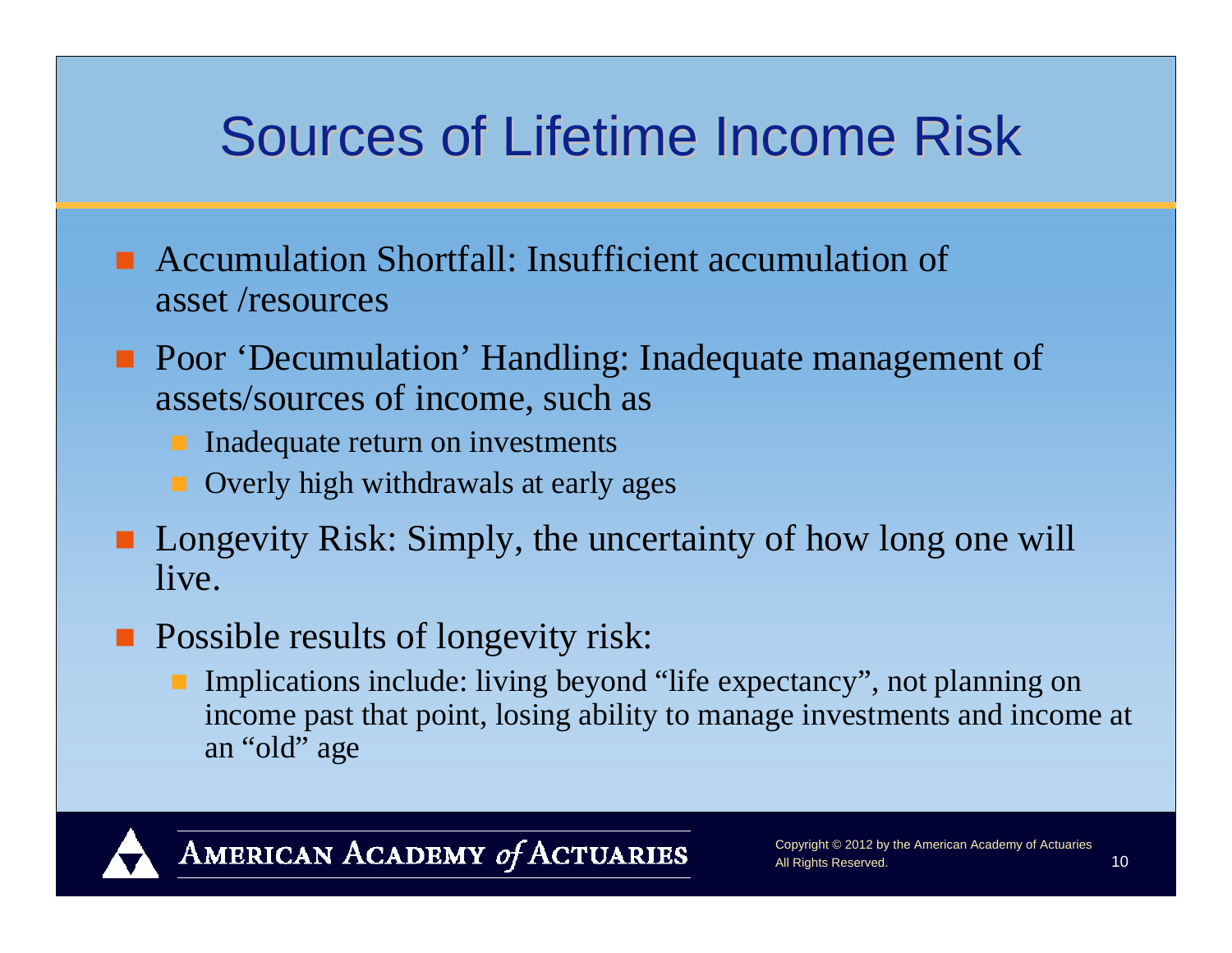### Sources of Lifetime Income Risk

- Accumulation Shortfall: Insufficient accumulation of asset /resources
- **Poor 'Decumulation' Handling: Inadequate management of** assets/sources of income, such as
	- **Inadequate return on investments**
	- **Overly high withdrawals at early ages**
- **Longevity Risk: Simply, the uncertainty of how long one will** live.
- **Possible results of longevity risk:** 
	- **Implications include: living beyond "life expectancy", not planning on** income past that point, losing ability to manage investments and income at an "old" age

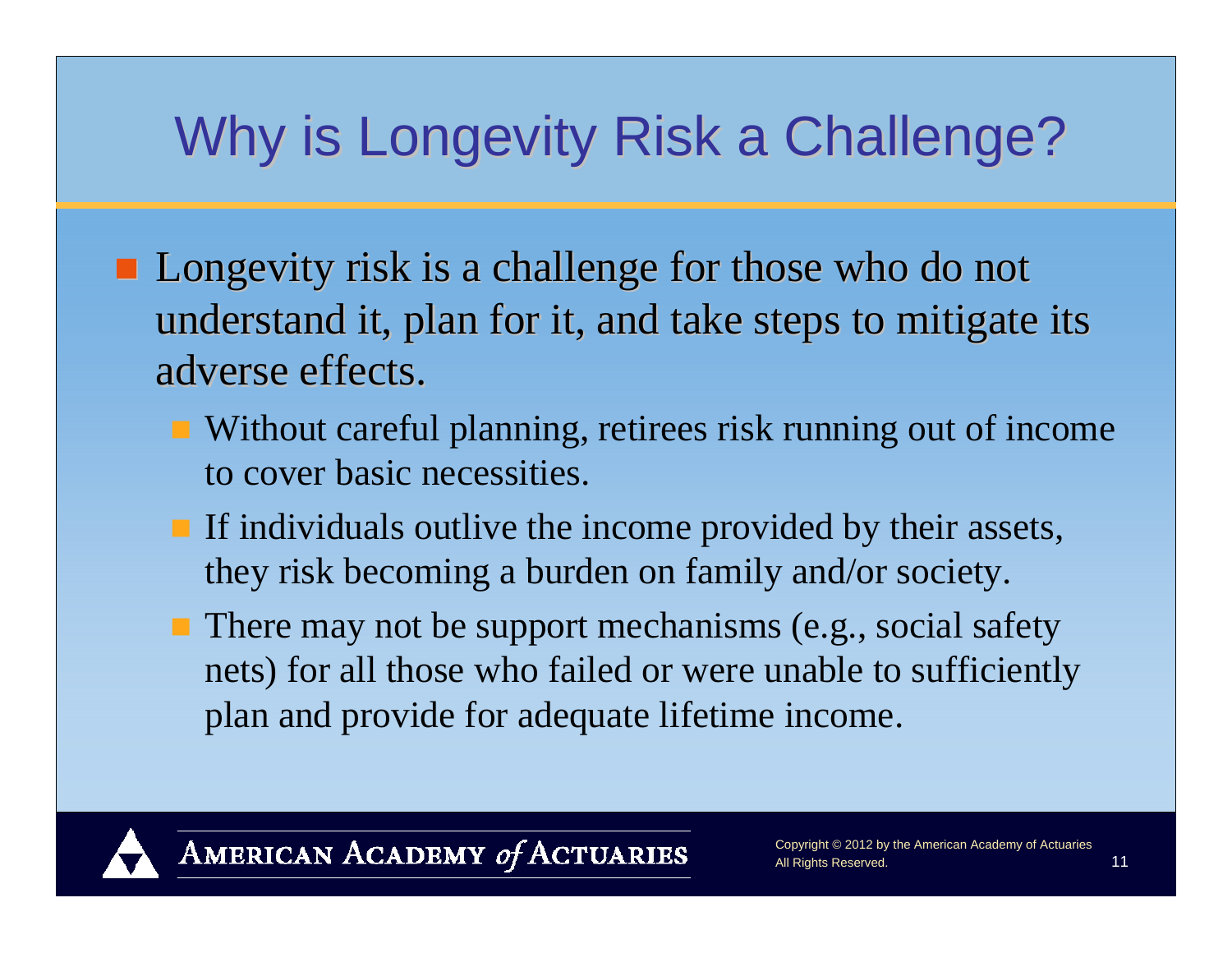## Why is Longevity Risk a Challenge?

- $\blacksquare$  Longevity risk is a challenge for those who do not understand it, plan for it, and take steps to mitigate its adverse effects.
	- Without careful planning, retirees risk running out of income to cover basic necessities.
	- If individuals outlive the income provided by their assets, they risk becoming a burden on family and/or society.
	- There may not be support mechanisms (e.g., social safety nets) for all those who failed or were unable to sufficiently plan and provide for adequate lifetime income.

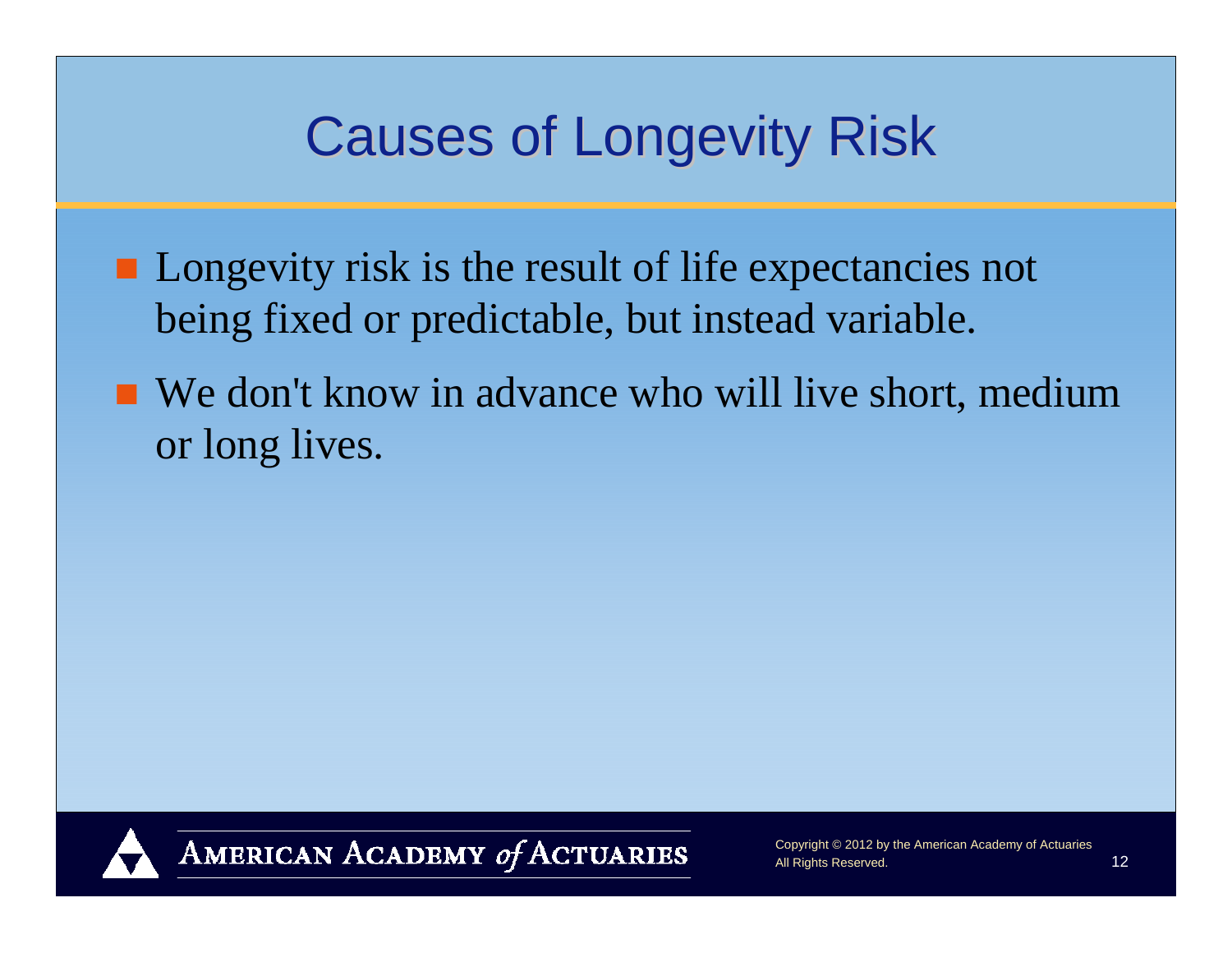### **Causes of Longevity Risk**

- **Longevity risk is the result of life expectancies not** being fixed or predictable, but instead variable.
- We don't know in advance who will live short, medium or long lives.

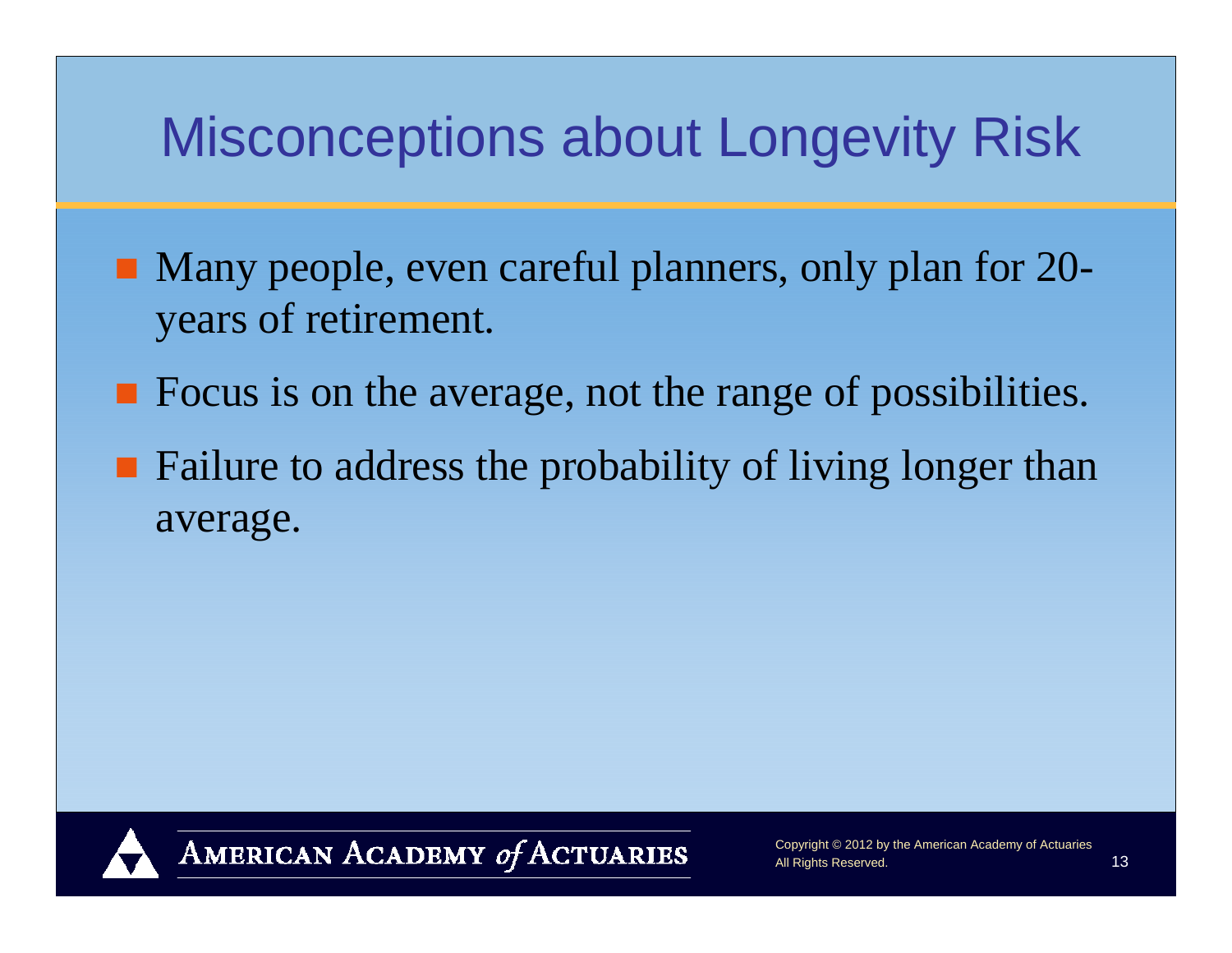### Misconceptions about Longevity Risk

- Many people, even careful planners, only plan for 20years of retirement.
- **Figure 1.5 The Example 2018** Focus is on the average, not the range of possibilities.
- Failure to address the probability of living longer than average.

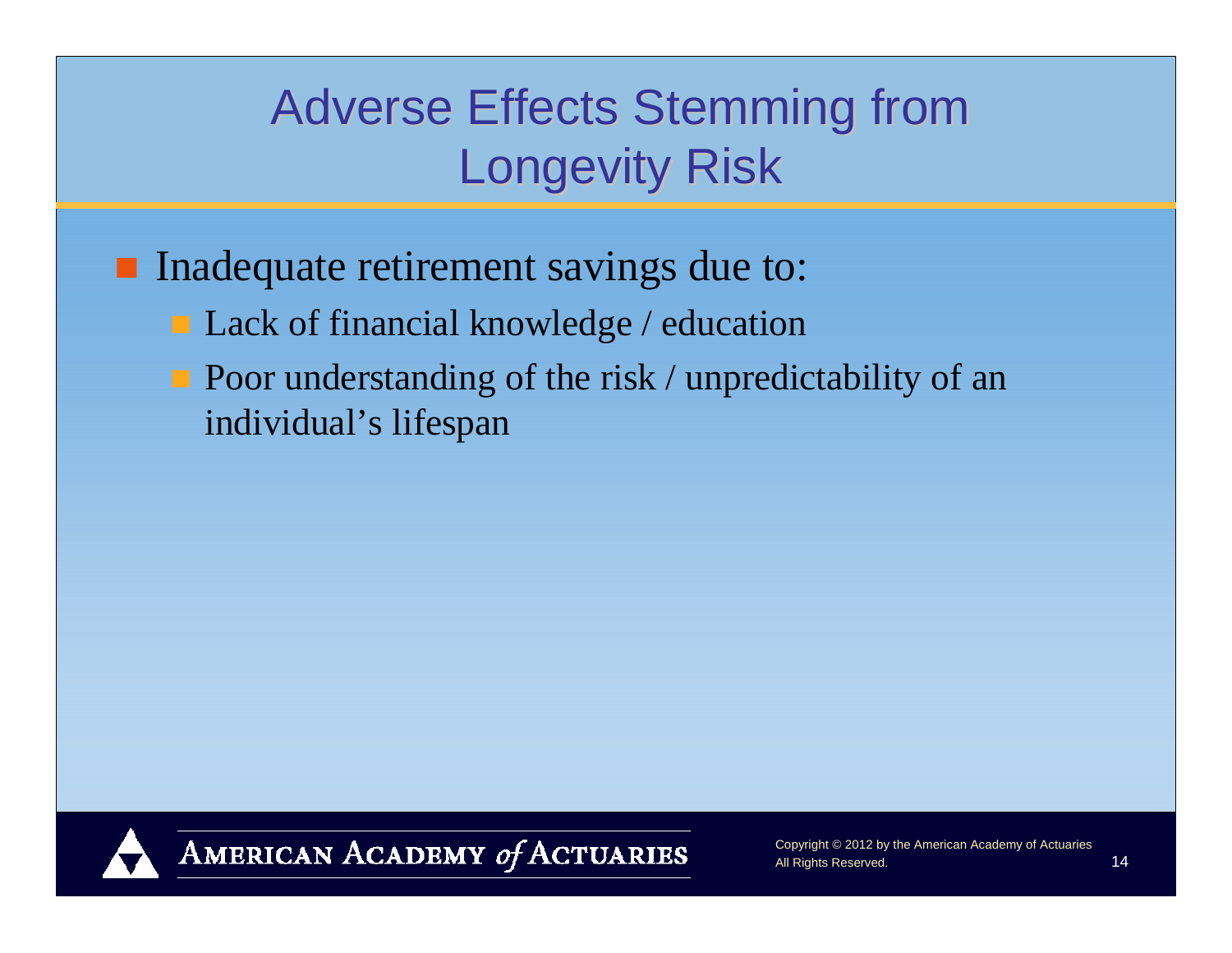### Adverse Effects Stemming from **Longevity Risk**

Inadequate retirement savings due to:

- **Lack of financial knowledge / education**
- $\blacksquare$  Poor understanding of the risk / unpredictability of an individual's lifespan

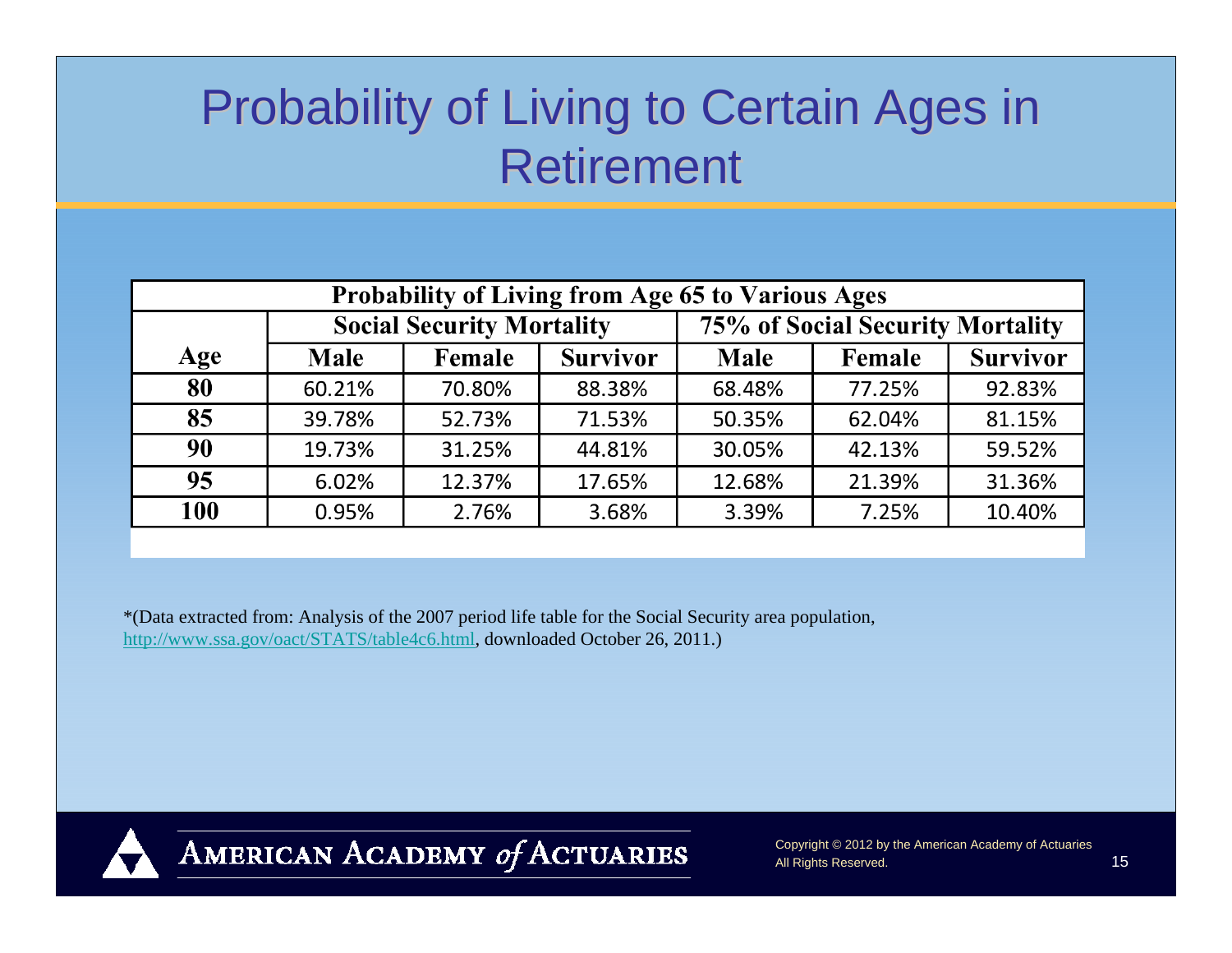### Probability of Living to Certain Ages in Probability of Living to Certain Ages in **Retirement**

| <b>Probability of Living from Age 65 to Various Ages</b> |                                  |        |                 |                                  |        |                 |
|----------------------------------------------------------|----------------------------------|--------|-----------------|----------------------------------|--------|-----------------|
|                                                          | <b>Social Security Mortality</b> |        |                 | 75% of Social Security Mortality |        |                 |
| Age                                                      | <b>Male</b>                      | Female | <b>Survivor</b> | <b>Male</b>                      | Female | <b>Survivor</b> |
| 80                                                       | 60.21%                           | 70.80% | 88.38%          | 68.48%                           | 77.25% | 92.83%          |
| 85                                                       | 39.78%                           | 52.73% | 71.53%          | 50.35%                           | 62.04% | 81.15%          |
| 90                                                       | 19.73%                           | 31.25% | 44.81%          | 30.05%                           | 42.13% | 59.52%          |
| 95                                                       | 6.02%                            | 12.37% | 17.65%          | 12.68%                           | 21.39% | 31.36%          |
| 100                                                      | 0.95%                            | 2.76%  | 3.68%           | 3.39%                            | 7.25%  | 10.40%          |

\*(Data extracted from: Analysis of the 2007 period life table for the Social Security area population, http://www.ssa.gov/oact/STATS/table4c6.html, downloaded October 26, 2011.)



AMERICAN ACADEMY of ACTUARIES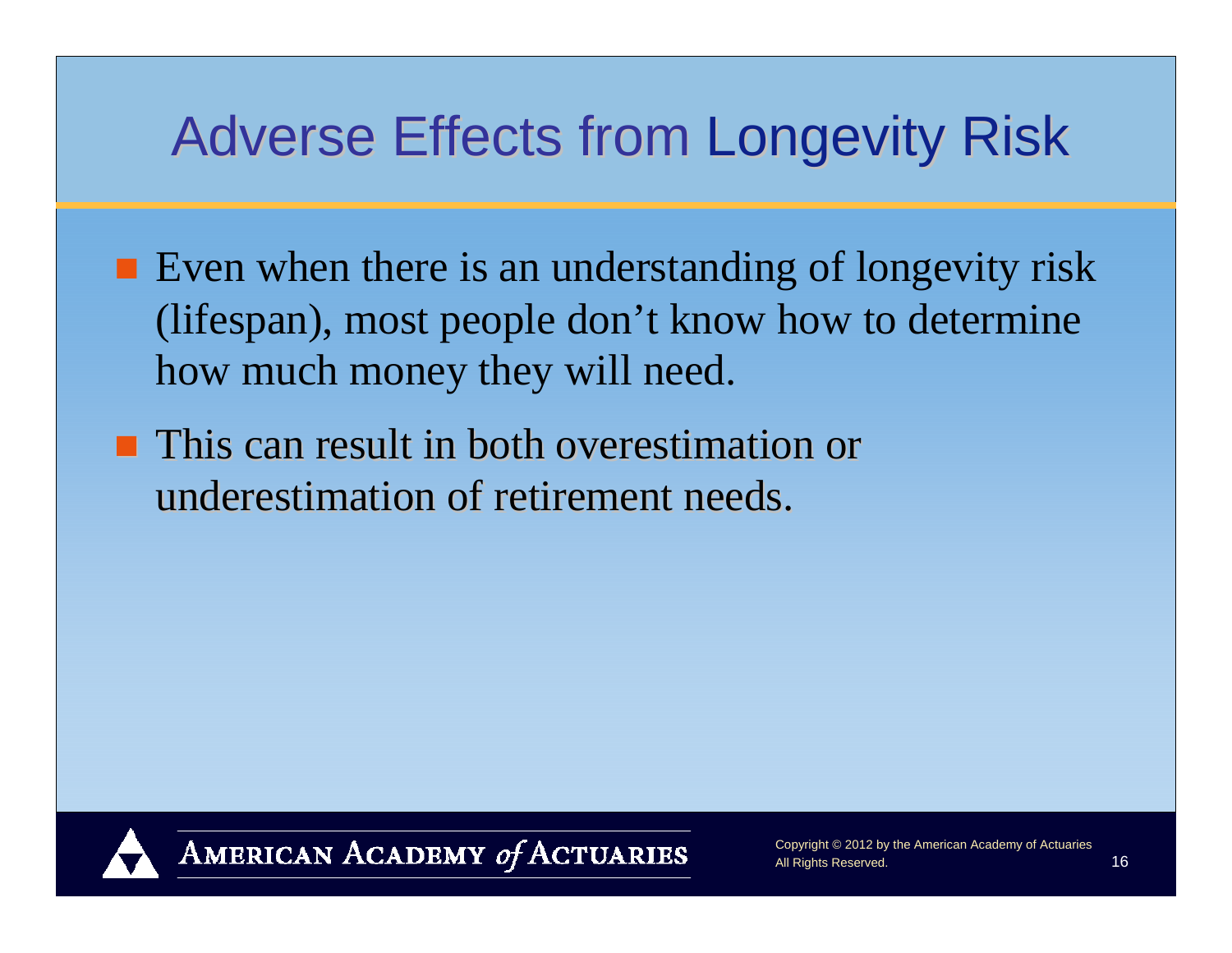### Adverse Effects from Longevity Risk

- Even when there is an understanding of longevity risk (lifespan), most people don't know how to determine how much money they will need.
- **This can result in both overestimation or** underestimation of retirement needs.

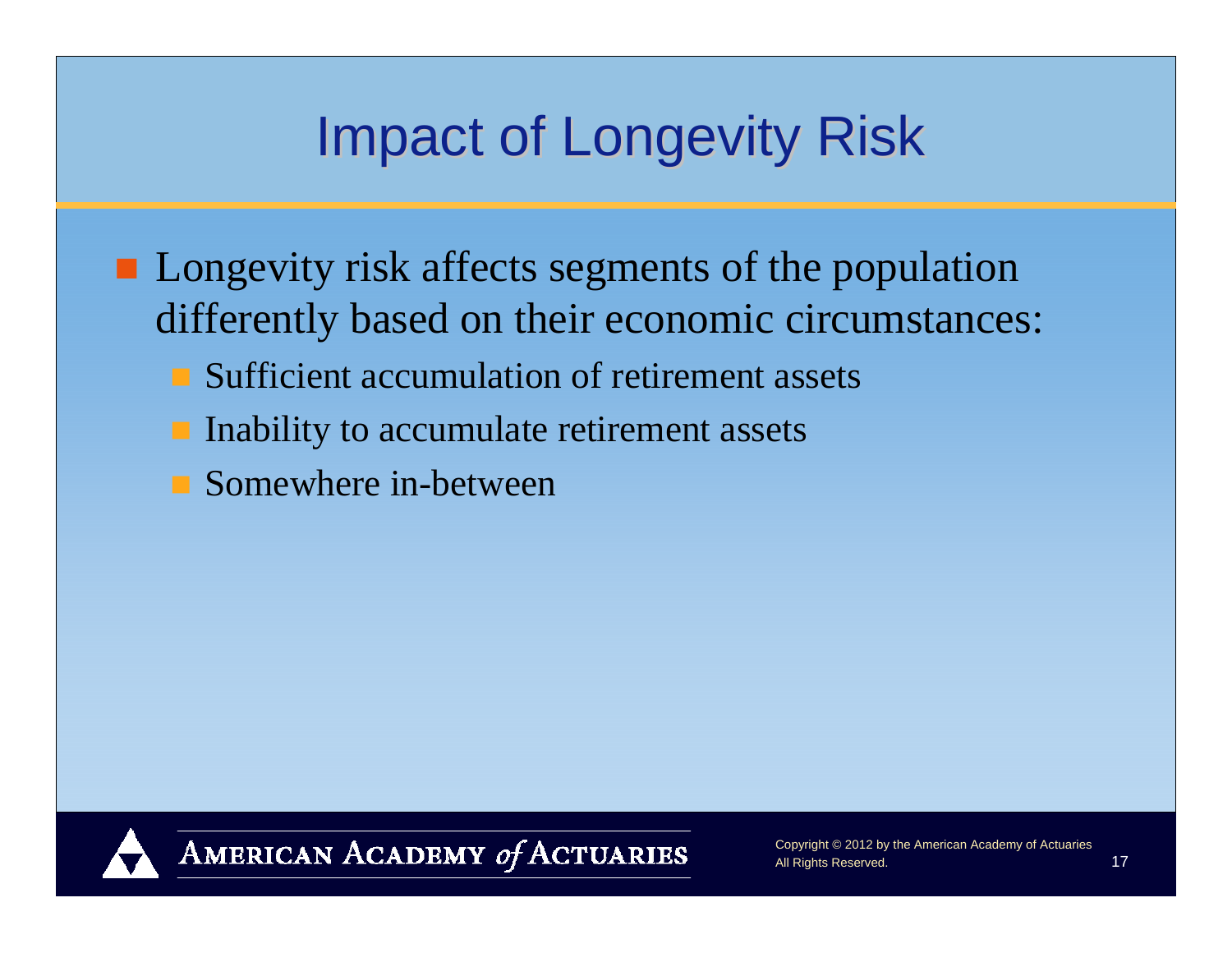### **Impact of Longevity Risk**

- **Longevity risk affects segments of the population** differently based on their economic circumstances:
	- **Sufficient accumulation of retirement assets**
	- **I** Inability to accumulate retirement assets
	- **Somewhere in-between**

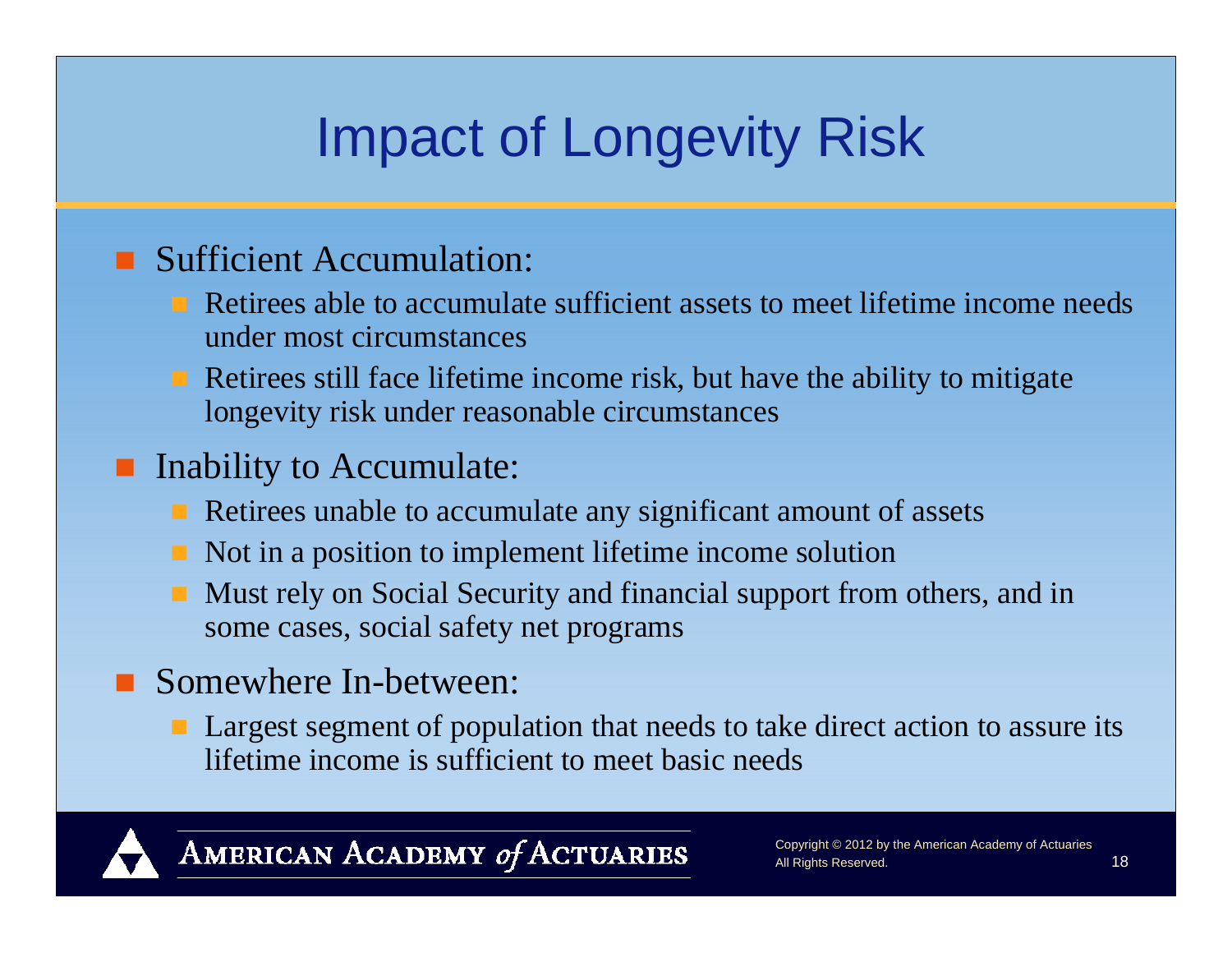## Impact of Longevity Risk

#### **Sufficient Accumulation:**

- Retirees able to accumulate sufficient assets to meet lifetime income needs under most circumstances
- Retirees still face lifetime income risk, but have the ability to mitigate longevity risk under reasonable circumstances

#### **Inability to Accumulate:**

- **Retirees unable to accumulate any significant amount of assets**
- Not in a position to implement lifetime income solution
- Must rely on Social Security and financial support from others, and in some cases, social safety net programs

#### ■ Somewhere In-between:

**Largest segment of population that needs to take direct action to assure its** lifetime income is sufficient to meet basic needs

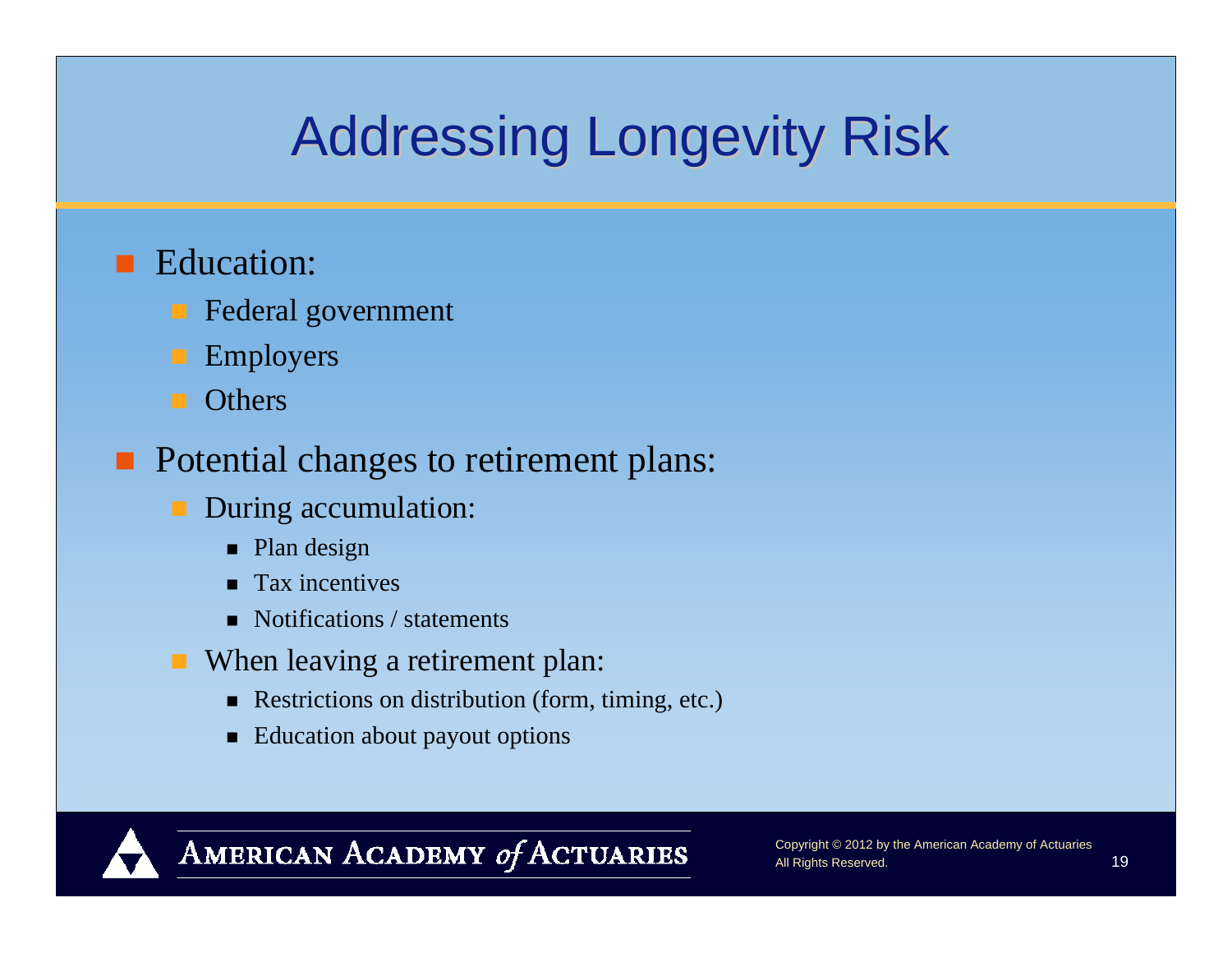# **Addressing Longevity Risk**

#### **E**ducation:

- Federal government
- Employers
- **Others**

#### **Potential changes to retirement plans:**

- **During accumulation:** 
	- Plan design
	- **Tax incentives**
	- Notifications / statements
- **When leaving a retirement plan:** 
	- Restrictions on distribution (form, timing, etc.)
	- Education about payout options

#### AMERICAN ACADEMY of ACTUARIES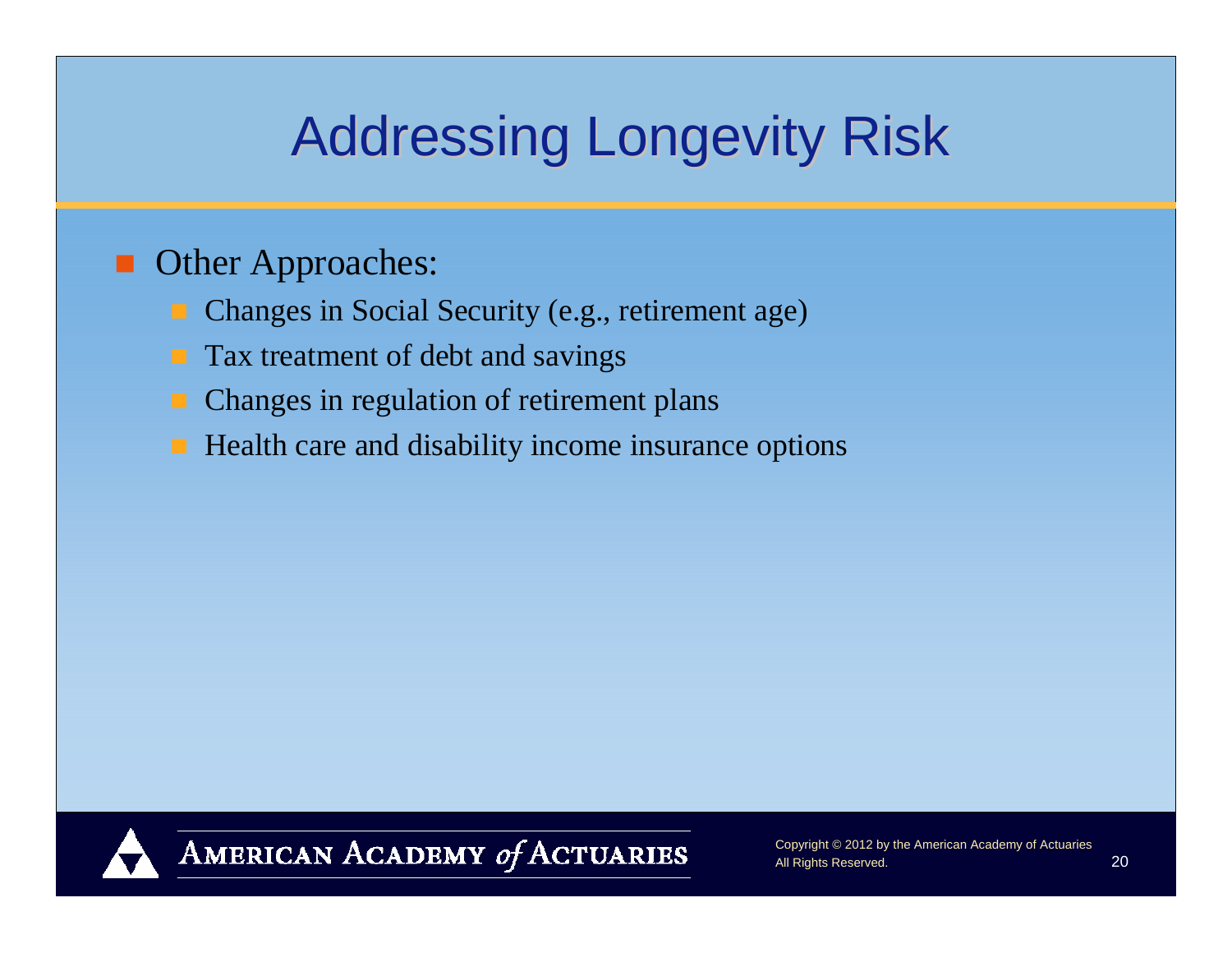## **Addressing Longevity Risk**

#### **Other Approaches:**

- Changes in Social Security (e.g., retirement age)
- Tax treatment of debt and savings
- Changes in regulation of retirement plans
- Health care and disability income insurance options

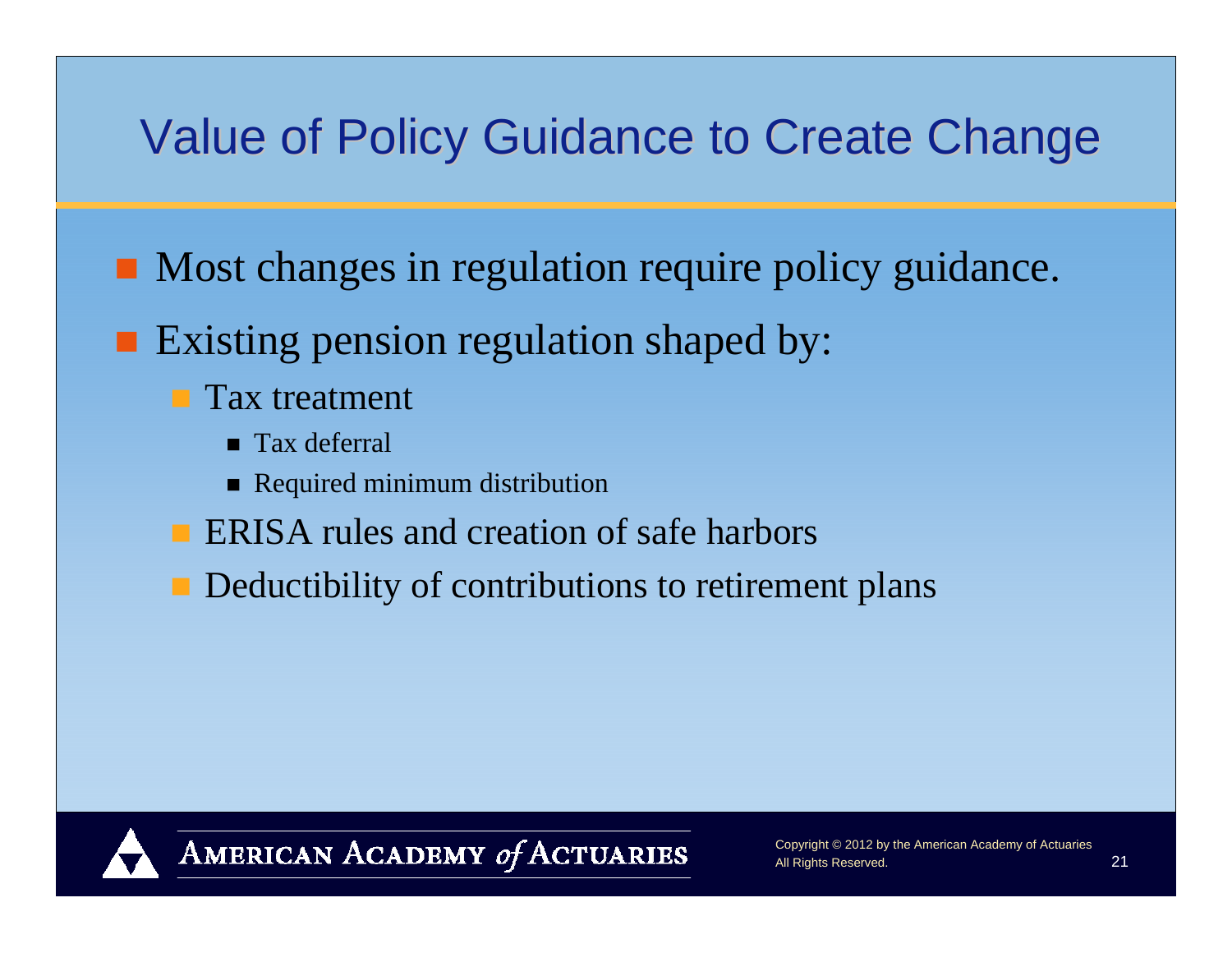### Value of Policy Guidance to Create Change

- **Most changes in regulation require policy guidance.**
- **Existing pension regulation shaped by:** 
	- **Tax treatment** 
		- **Tax deferral**
		- **Required minimum distribution**
	- **ERISA rules and creation of safe harbors**
	- **Deductibility of contributions to retirement plans**

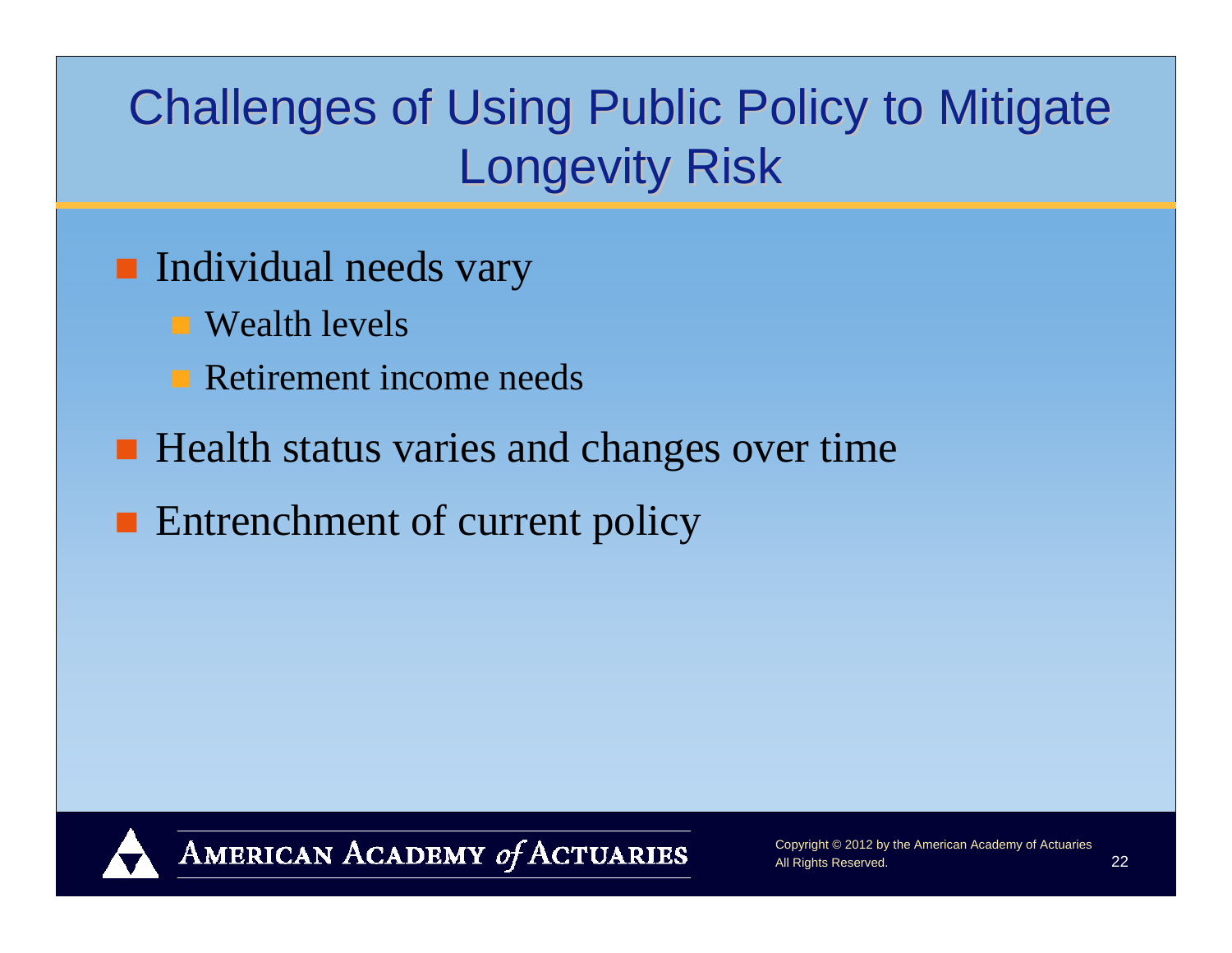### Challenges of Using Public Policy to Mitigate **Longevity Risk**

### **Individual needs vary**

- Wealth levels
- **Retirement income needs**
- Health status varies and changes over time
- **Entrenchment of current policy**



AMERICAN ACADEMY of ACTUARIES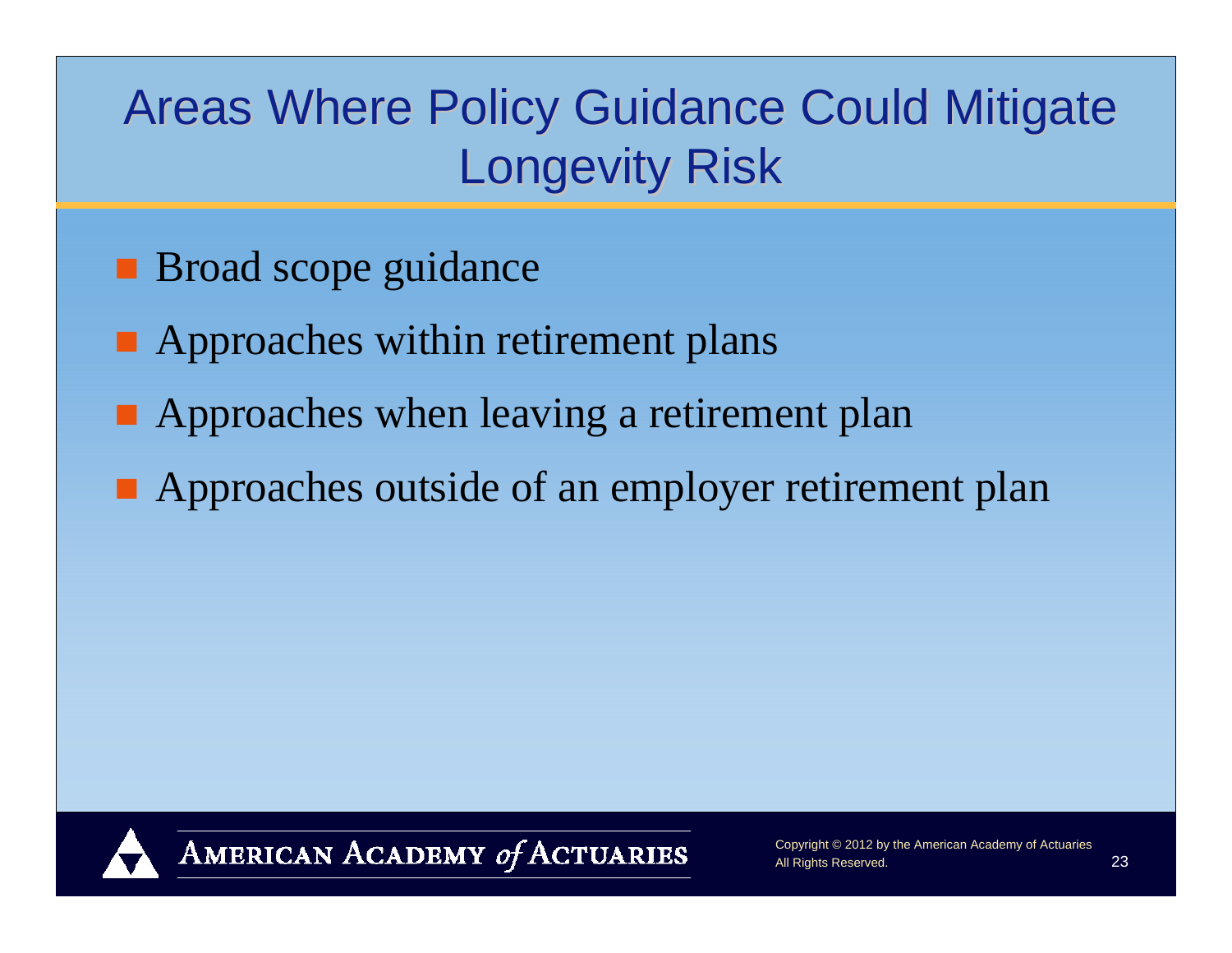### Areas Where Policy Guidance Could Mitigate **Longevity Risk**

- **Broad scope guidance**
- **Approaches within retirement plans**
- **Approaches when leaving a retirement plan**
- **Approaches outside of an employer retirement plan**

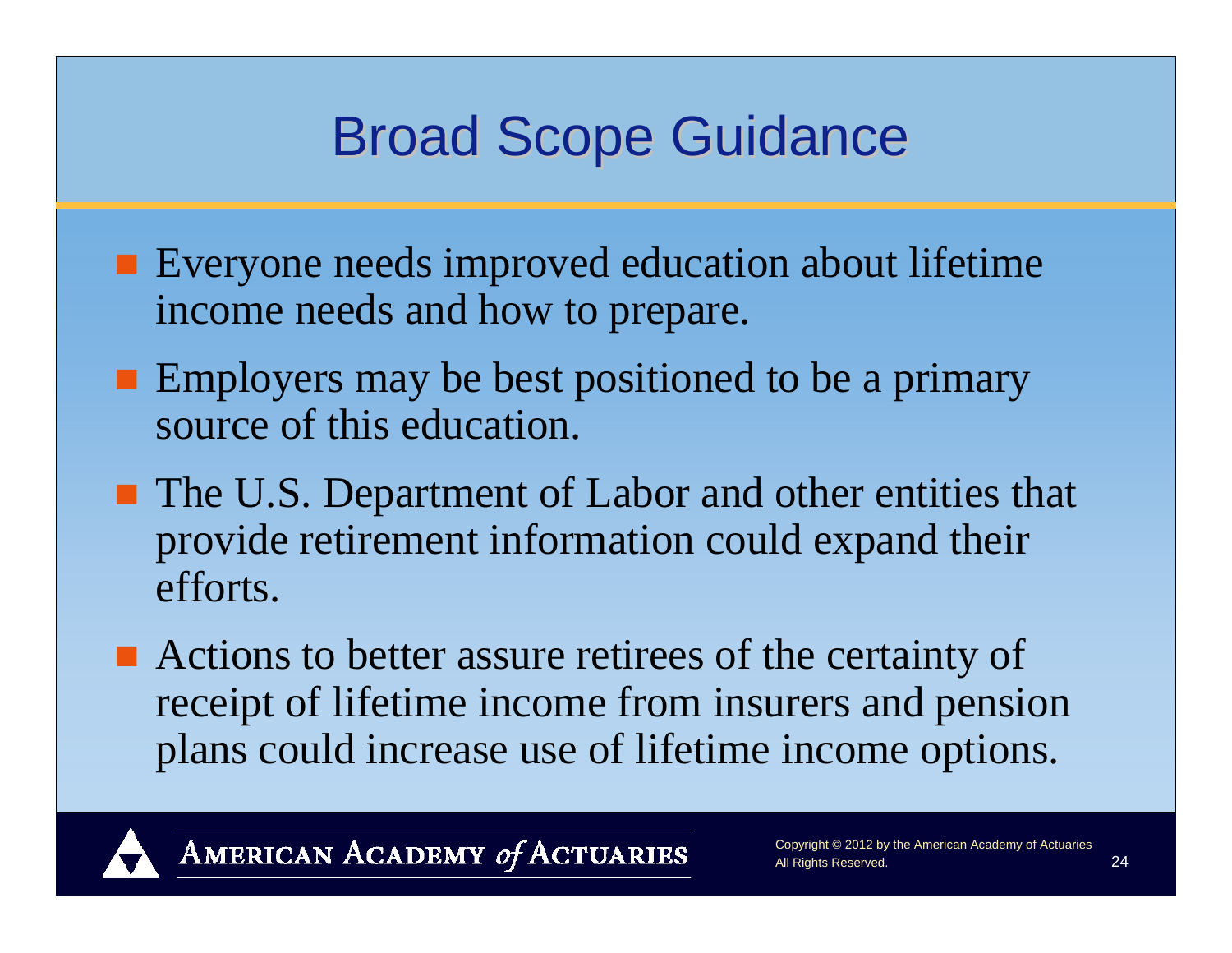### **Broad Scope Guidance**

- **Exeryone needs improved education about lifetime** income needs and how to prepare.
- **Employers may be best positioned to be a primary** source of this education.
- The U.S. Department of Labor and other entities that provide retirement information could expand their efforts.
- Actions to better assure retirees of the certainty of receipt of lifetime income from insurers and pension plans could increase use of lifetime income options.

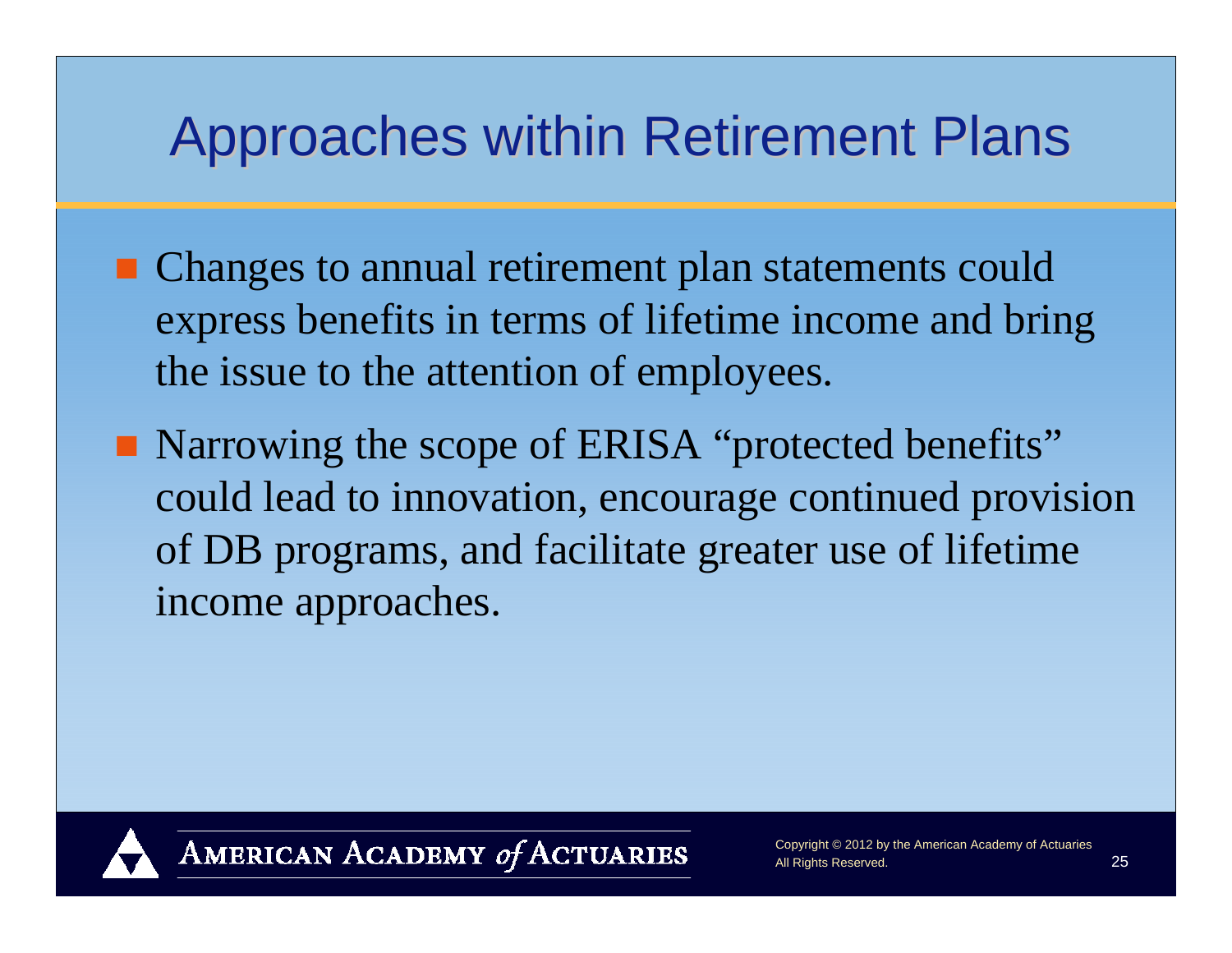### Approaches within Retirement Plans

- Changes to annual retirement plan statements could express benefits in terms of lifetime income and bring the issue to the attention of employees.
- Narrowing the scope of ERISA "protected benefits" could lead to innovation, encourage continued provision of DB programs, and facilitate greater use of lifetime income approaches.

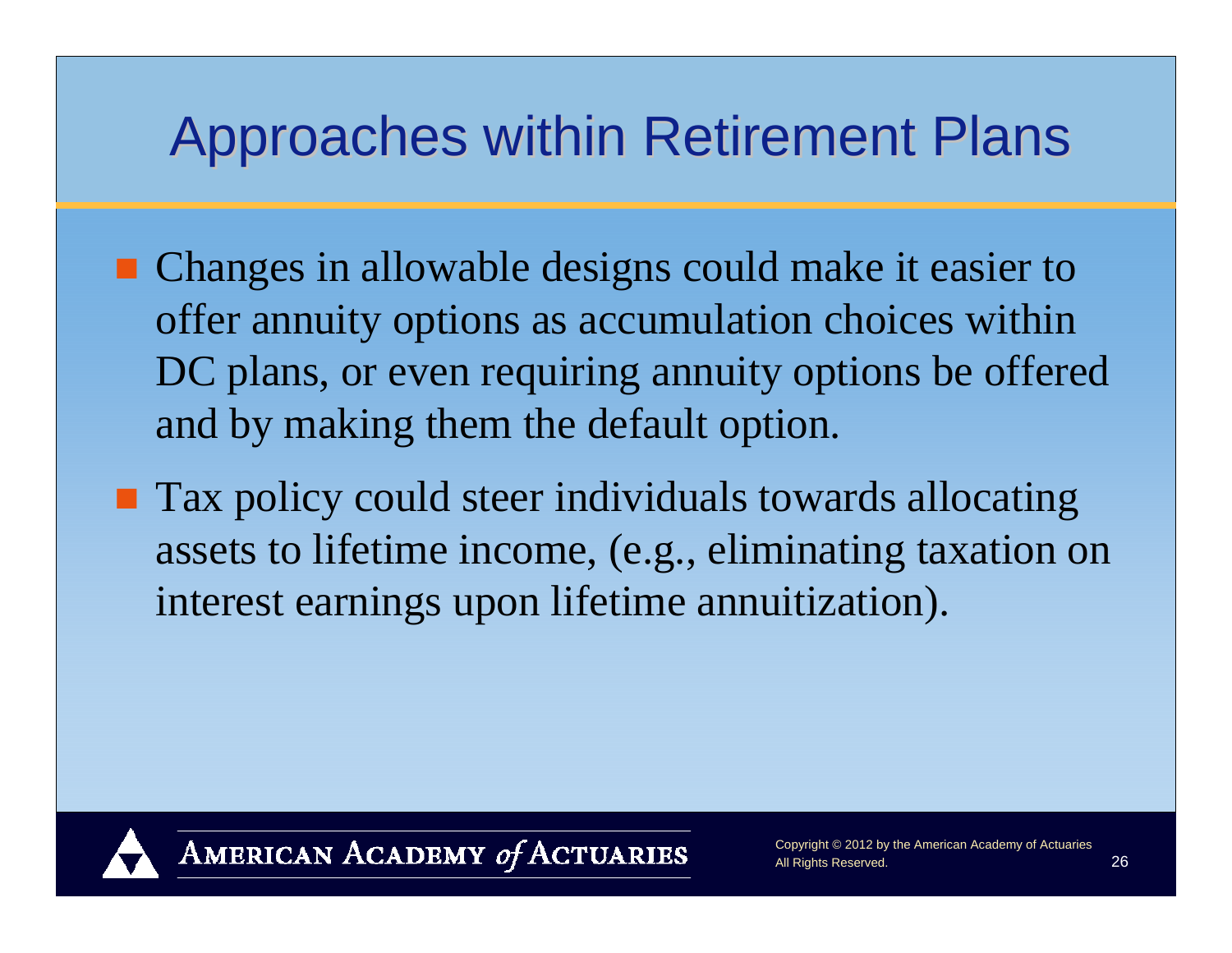### Approaches within Retirement Plans

- Changes in allowable designs could make it easier to offer annuity options as accumulation choices within DC plans, or even requiring annuity options be offered and by making them the default option.
- **Tax policy could steer individuals towards allocating** assets to lifetime income, (e.g., eliminating taxation on interest earnings upon lifetime annuitization).



AMERICAN ACADEMY of ACTUARIES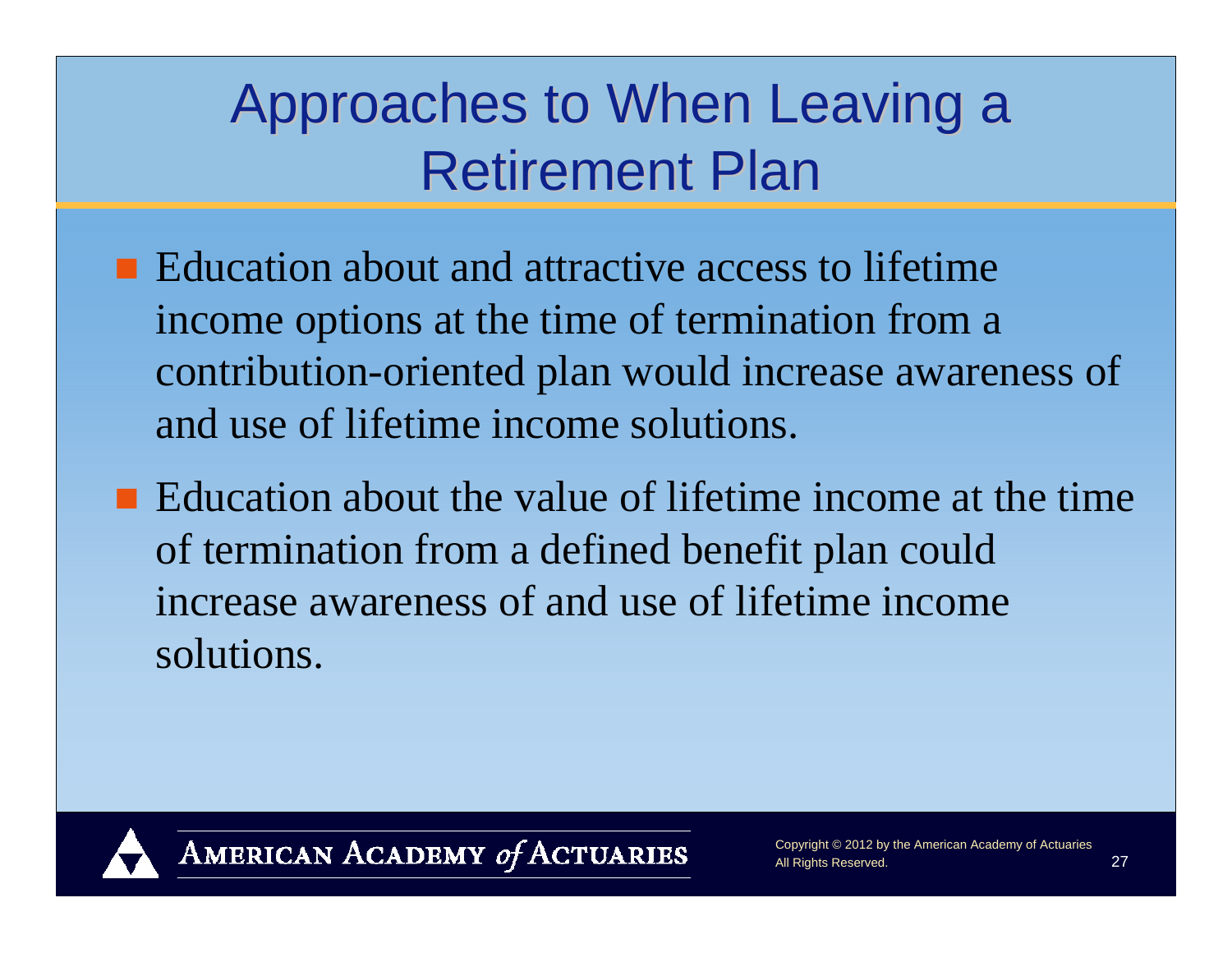## Approaches to When Leaving a Retirement Plan

- $\blacksquare$  Education about and attractive access to lifetime income options at the time of termination from a contribution-oriented plan would increase awareness of and use of lifetime income solutions.
- Education about the value of lifetime income at the time of termination from a defined benefit plan could increase awareness of and use of lifetime income solutions.

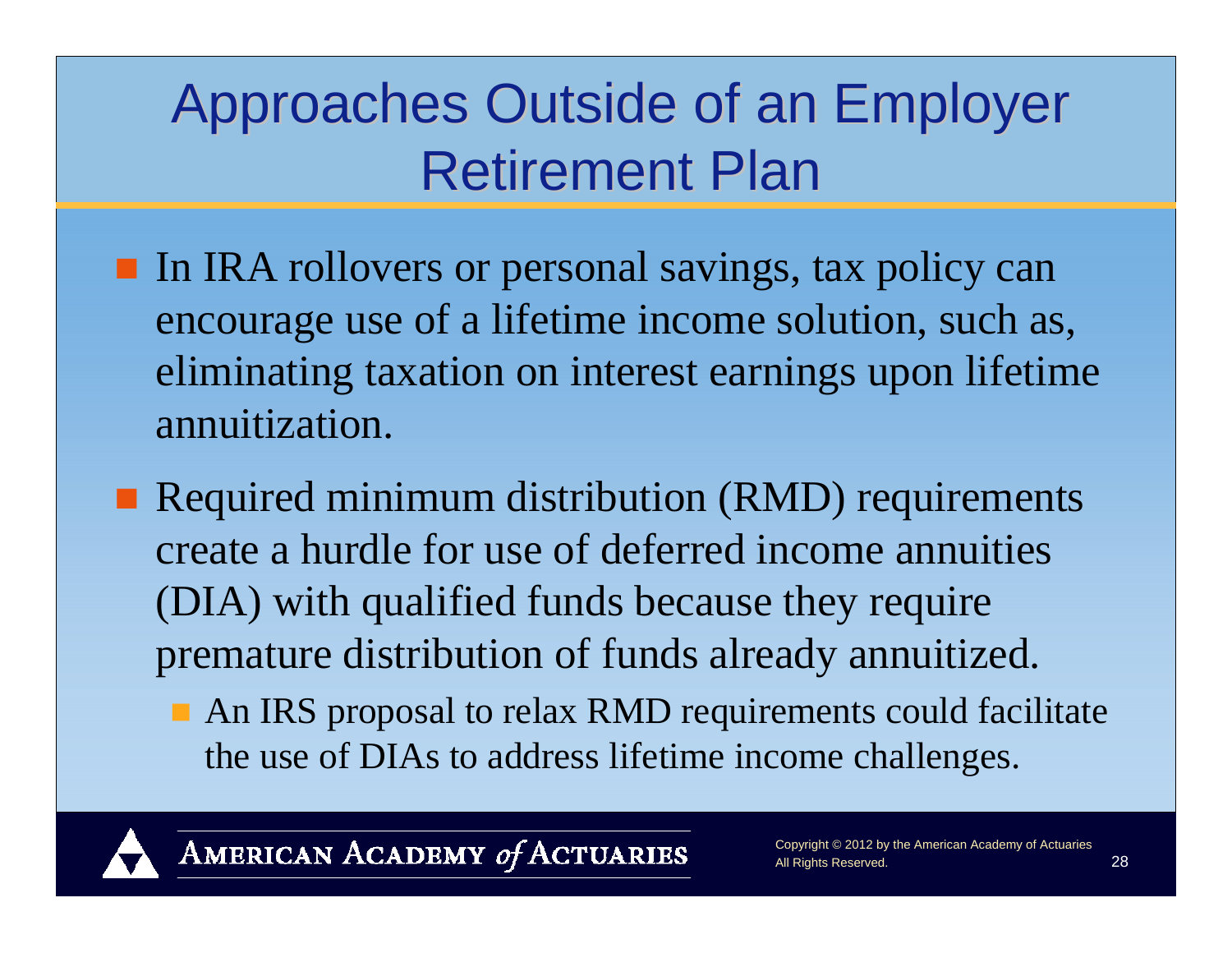## Approaches Outside of an Employer Retirement Plan

- In IRA rollovers or personal savings, tax policy can encourage use of a lifetime income solution, such as, eliminating taxation on interest earnings upon lifetime annuitization.
- Required minimum distribution (RMD) requirements create a hurdle for use of deferred income annuities (DIA) with qualified funds because they require premature distribution of funds already annuitized.
	- An IRS proposal to relax RMD requirements could facilitate the use of DIAs to address lifetime income challenges.

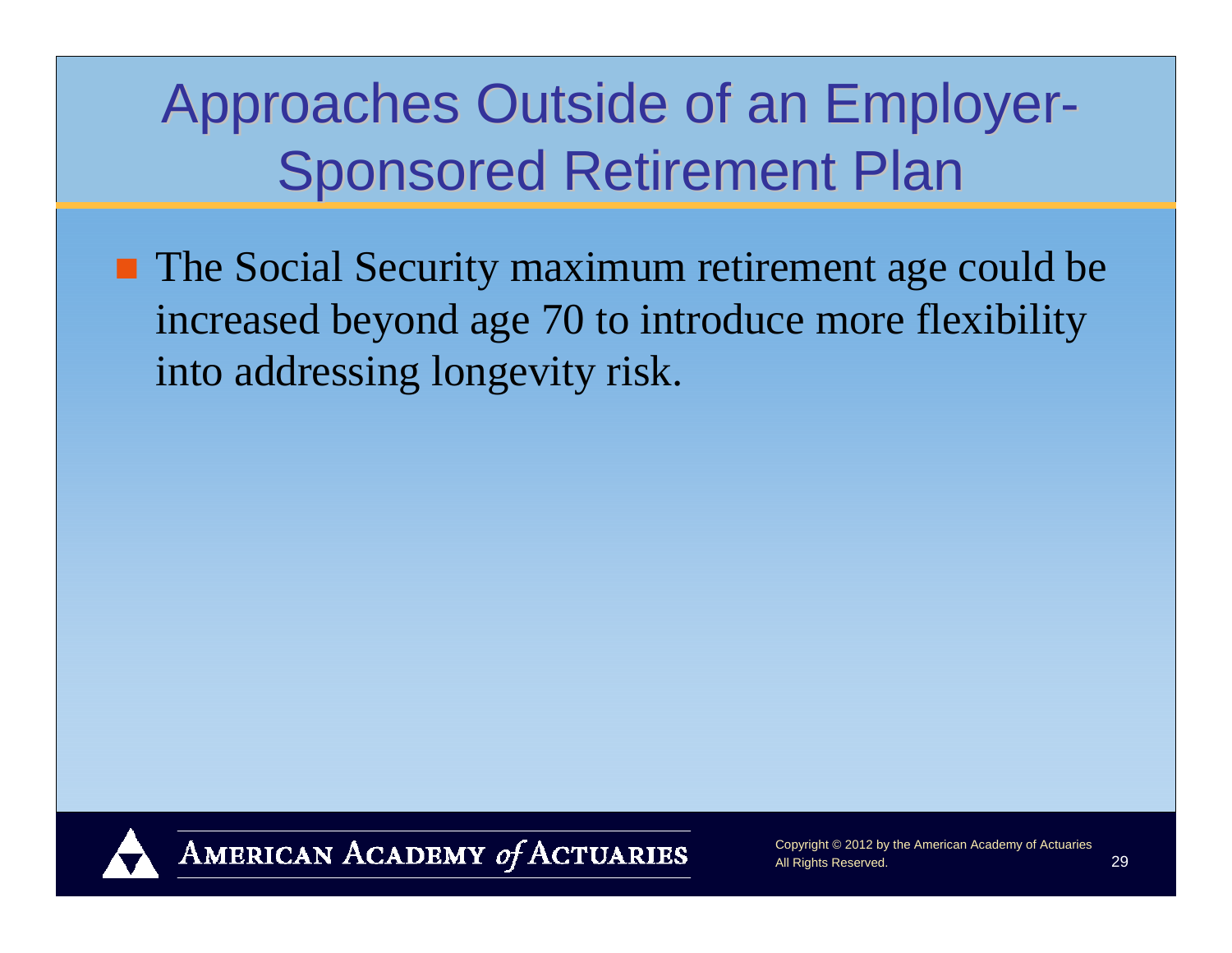## Approaches Outside of an Employer-**Sponsored Retirement Plan**

■ The Social Security maximum retirement age could be increased beyond age 70 to introduce more flexibility into addressing longevity risk.



AMERICAN ACADEMY of ACTUARIES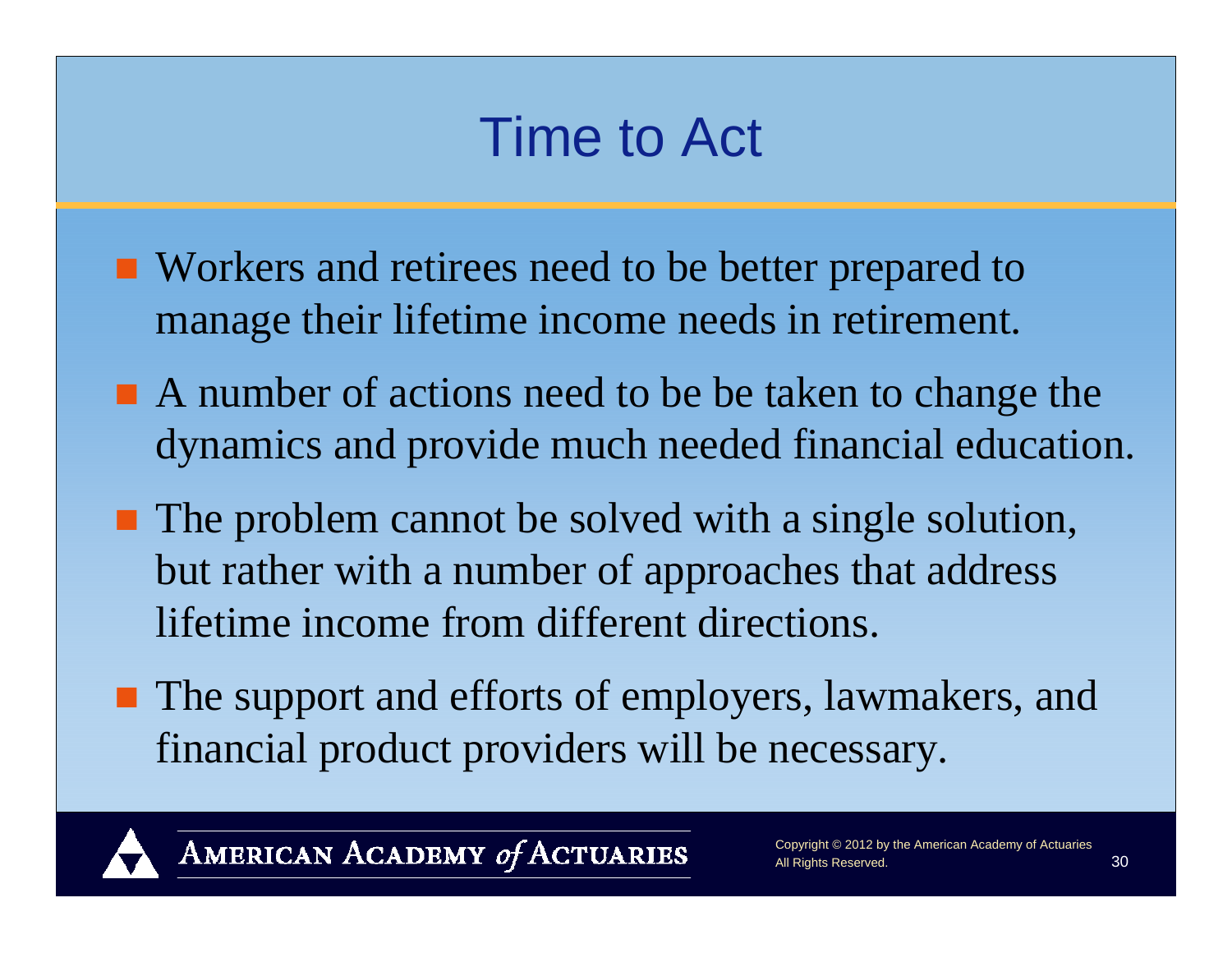### Time to Act

- Workers and retirees need to be better prepared to manage their lifetime income needs in retirement.
- A number of actions need to be be taken to change the dynamics and provide much needed financial education.
- The problem cannot be solved with a single solution, but rather with a number of approaches that address lifetime income from different directions.
- The support and efforts of employers, lawmakers, and financial product providers will be necessary.



AMERICAN ACADEMY of ACTUARIES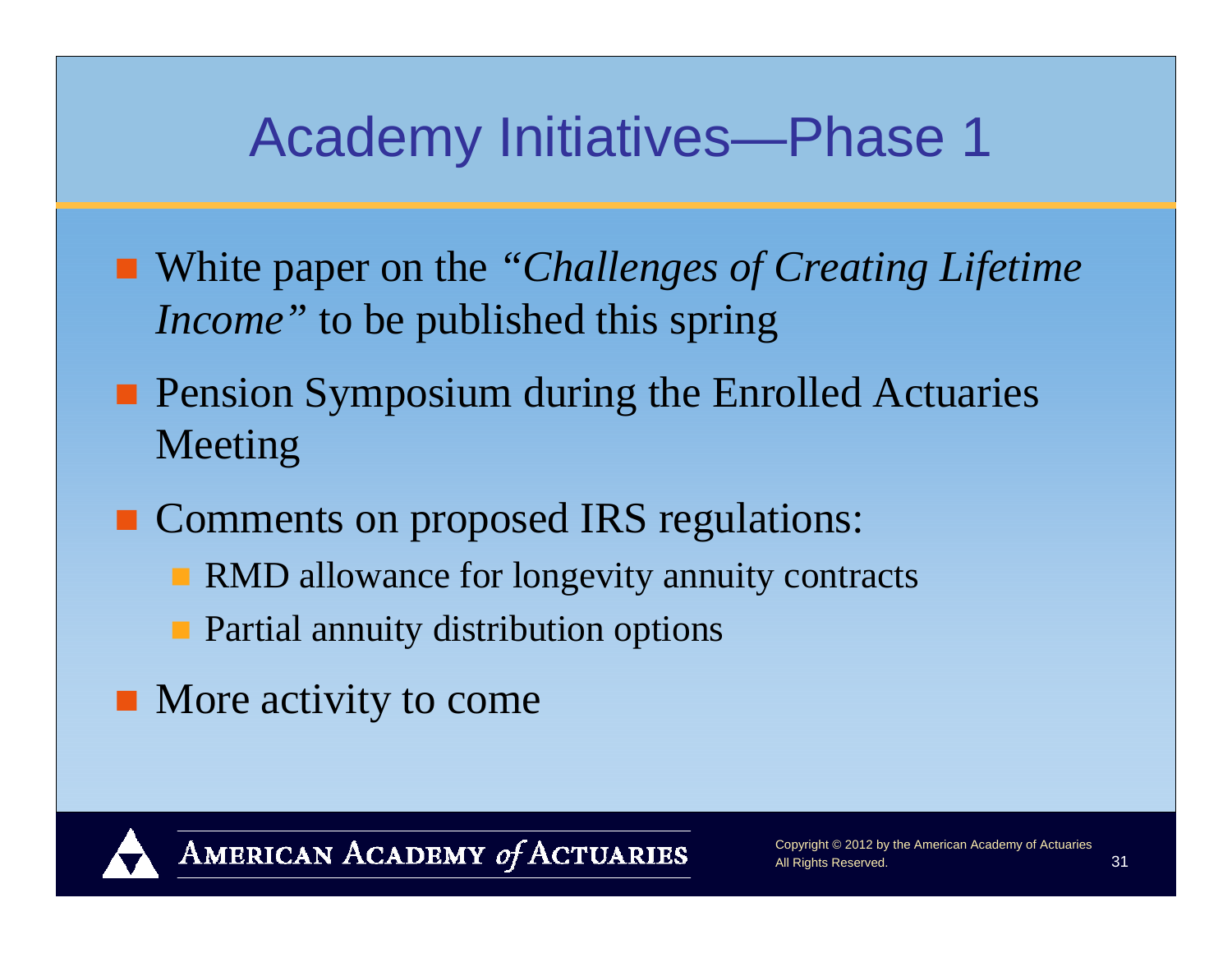### Academy Initiatives—Phase 1

- White paper on the *"Challenges of Creating Lifetime Income"* to be published this spring
- **Pension Symposium during the Enrolled Actuaries** Meeting
- **Comments on proposed IRS regulations:** 
	- **RMD** allowance for longevity annuity contracts
	- **Partial annuity distribution options**
- More activity to come

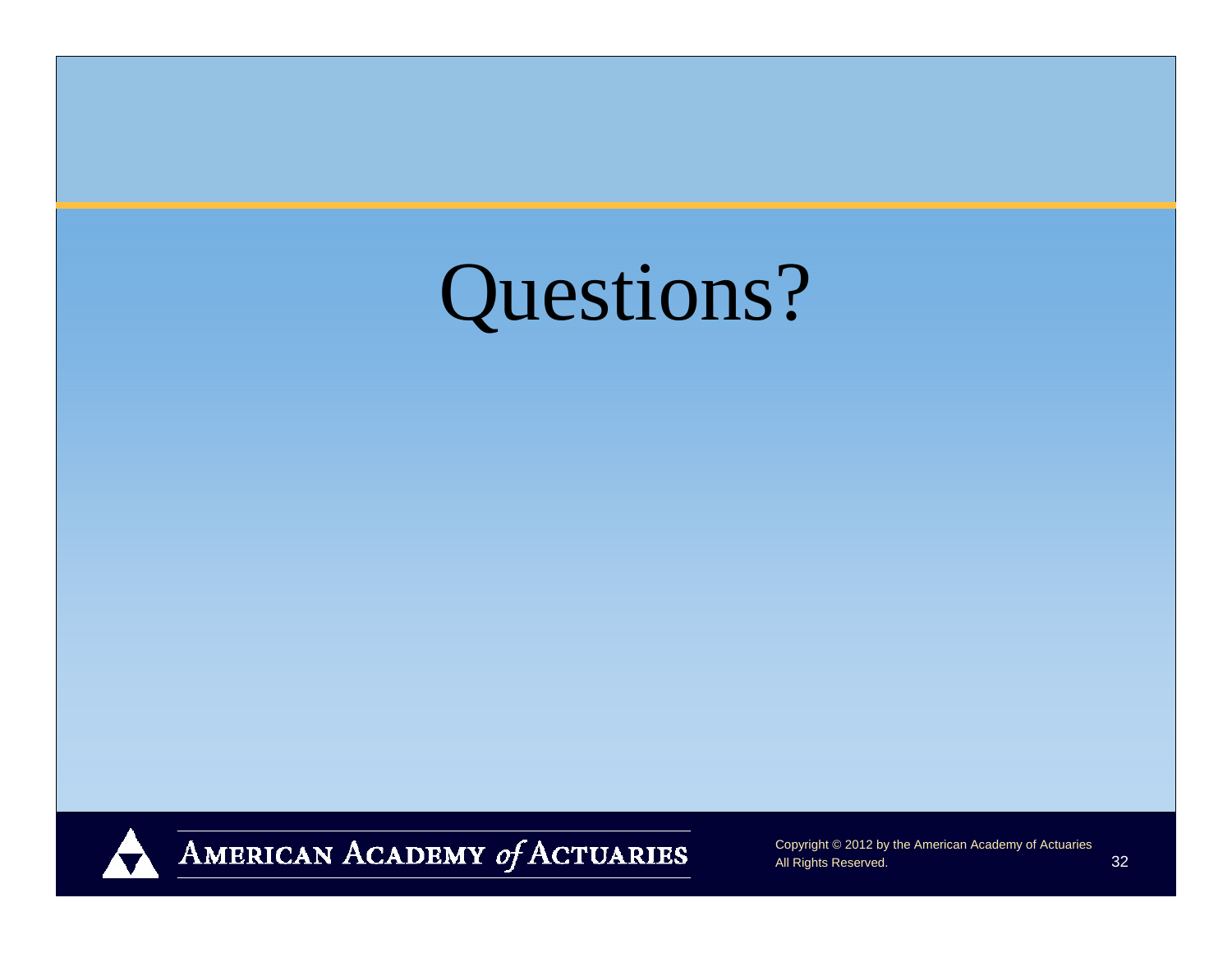



AMERICAN ACADEMY of ACTUARIES